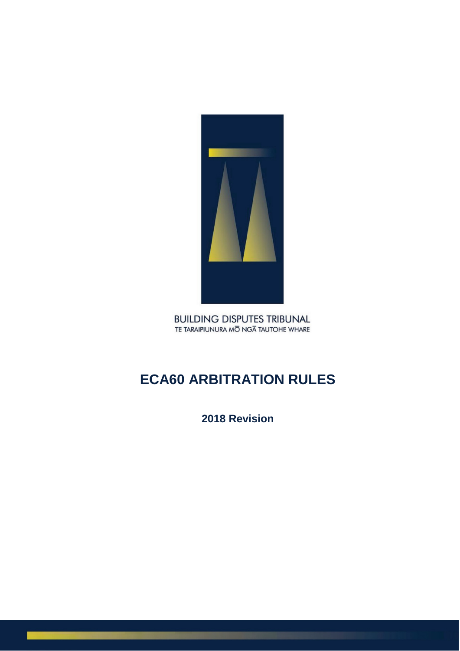

**BUILDING DISPUTES TRIBUNAL** TE TARAIPIUNURA MO NGA TAUTOHE WHARE

# **ECA60 ARBITRATION RULES**

**2018 Revision**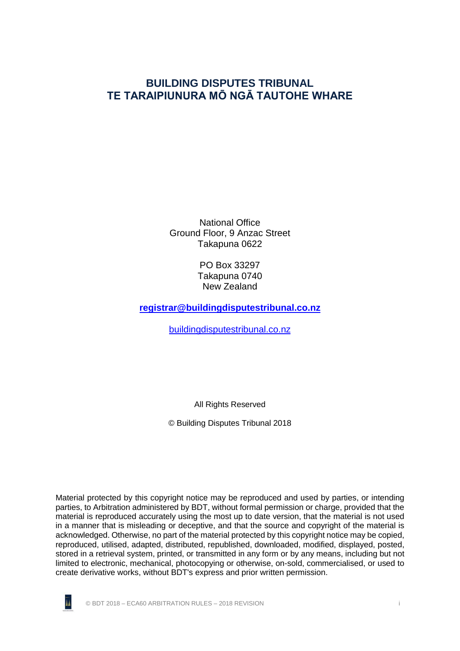# **BUILDING DISPUTES TRIBUNAL TE TARAIPIUNURA MŌ NGĀ TAUTOHE WHARE**

National Office Ground Floor, 9 Anzac Street Takapuna 0622

> PO Box 33297 Takapuna 0740 New Zealand

**[registrar@buildingdisputestribunal.co.nz](mailto:registrar@buildingdisputestribunal.co.nz)**

[buildingdisputestribunal.co.nz](http://www.buildingdisputestribunal.co.nz/)

All Rights Reserved

© Building Disputes Tribunal 2018

Material protected by this copyright notice may be reproduced and used by parties, or intending parties, to Arbitration administered by BDT, without formal permission or charge, provided that the material is reproduced accurately using the most up to date version, that the material is not used in a manner that is misleading or deceptive, and that the source and copyright of the material is acknowledged. Otherwise, no part of the material protected by this copyright notice may be copied, reproduced, utilised, adapted, distributed, republished, downloaded, modified, displayed, posted, stored in a retrieval system, printed, or transmitted in any form or by any means, including but not limited to electronic, mechanical, photocopying or otherwise, on-sold, commercialised, or used to create derivative works, without BDT's express and prior written permission.



© BDT 2018 – ECA60 ARBITRATION RULES – 2018 REVISION i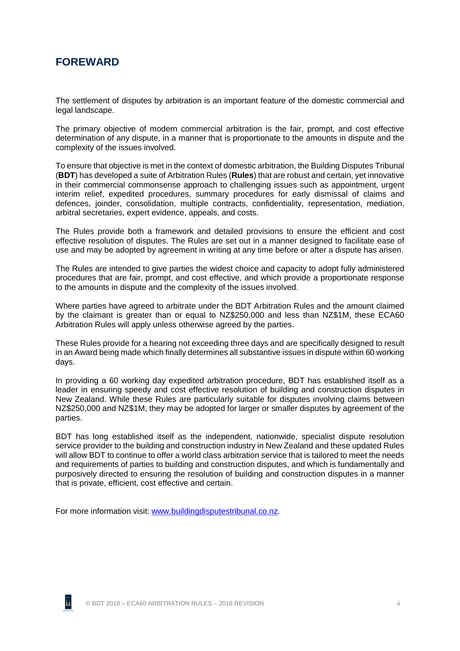# **FOREWARD**

The settlement of disputes by arbitration is an important feature of the domestic commercial and legal landscape.

The primary objective of modern commercial arbitration is the fair, prompt, and cost effective determination of any dispute, in a manner that is proportionate to the amounts in dispute and the complexity of the issues involved.

To ensure that objective is met in the context of domestic arbitration, the Building Disputes Tribunal (**BDT**) has developed a suite of Arbitration Rules (**Rules**) that are robust and certain, yet innovative in their commercial commonsense approach to challenging issues such as appointment, urgent interim relief, expedited procedures, summary procedures for early dismissal of claims and defences, joinder, consolidation, multiple contracts, confidentiality, representation, mediation, arbitral secretaries, expert evidence, appeals, and costs.

The Rules provide both a framework and detailed provisions to ensure the efficient and cost effective resolution of disputes. The Rules are set out in a manner designed to facilitate ease of use and may be adopted by agreement in writing at any time before or after a dispute has arisen.

The Rules are intended to give parties the widest choice and capacity to adopt fully administered procedures that are fair, prompt, and cost effective, and which provide a proportionate response to the amounts in dispute and the complexity of the issues involved.

Where parties have agreed to arbitrate under the BDT Arbitration Rules and the amount claimed by the claimant is greater than or equal to NZ\$250,000 and less than NZ\$1M, these ECA60 Arbitration Rules will apply unless otherwise agreed by the parties.

These Rules provide for a hearing not exceeding three days and are specifically designed to result in an Award being made which finally determines all substantive issues in dispute within 60 working days.

In providing a 60 working day expedited arbitration procedure, BDT has established itself as a leader in ensuring speedy and cost effective resolution of building and construction disputes in New Zealand. While these Rules are particularly suitable for disputes involving claims between NZ\$250,000 and NZ\$1M, they may be adopted for larger or smaller disputes by agreement of the parties.

BDT has long established itself as the independent, nationwide, specialist dispute resolution service provider to the building and construction industry in New Zealand and these updated Rules will allow BDT to continue to offer a world class arbitration service that is tailored to meet the needs and requirements of parties to building and construction disputes, and which is fundamentally and purposively directed to ensuring the resolution of building and construction disputes in a manner that is private, efficient, cost effective and certain.

For more information visit: [www.buildingdisputestribunal.co.nz.](http://www.buildingdisputestribunal.co.nz/)

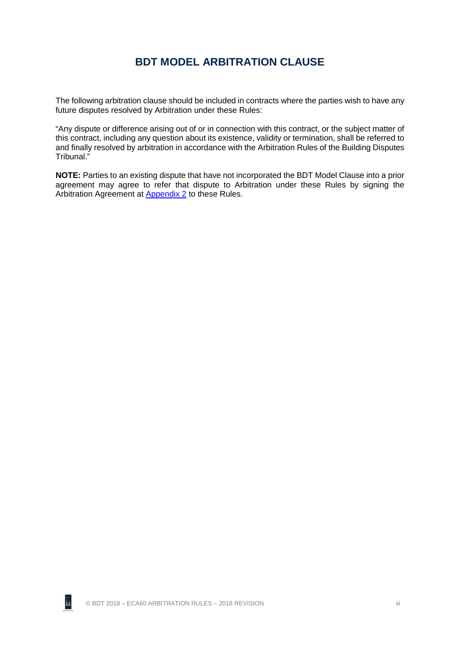# **BDT MODEL ARBITRATION CLAUSE**

The following arbitration clause should be included in contracts where the parties wish to have any future disputes resolved by Arbitration under these Rules:

"Any dispute or difference arising out of or in connection with this contract, or the subject matter of this contract, including any question about its existence, validity or termination, shall be referred to and finally resolved by arbitration in accordance with the Arbitration Rules of the Building Disputes Tribunal."

**NOTE:** Parties to an existing dispute that have not incorporated the BDT Model Clause into a prior agreement may agree to refer that dispute to Arbitration under these Rules by signing the Arbitration Agreement at [Appendix 2](#page-48-0) to these Rules.

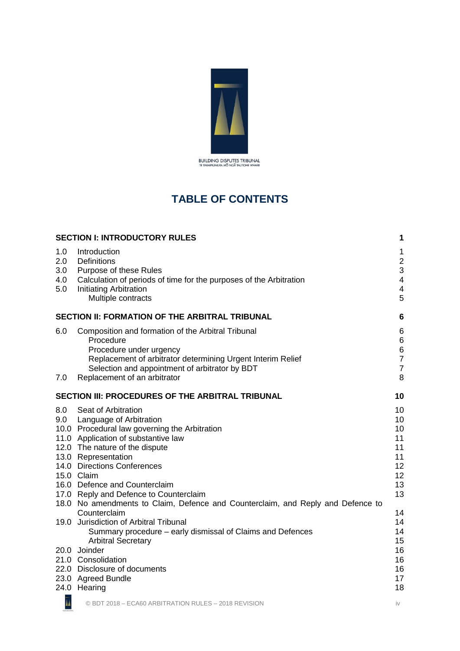

# **TABLE OF CONTENTS**

|                                 | <b>SECTION I: INTRODUCTORY RULES</b>                                                                                                                                                                                                          | 1                                                    |
|---------------------------------|-----------------------------------------------------------------------------------------------------------------------------------------------------------------------------------------------------------------------------------------------|------------------------------------------------------|
| 1.0<br>2.0<br>3.0<br>4.0<br>5.0 | Introduction<br>Definitions<br>Purpose of these Rules<br>Calculation of periods of time for the purposes of the Arbitration<br>Initiating Arbitration<br>Multiple contracts                                                                   | 1<br>$\overline{a}$<br>3<br>$\overline{4}$<br>4<br>5 |
|                                 | SECTION II: FORMATION OF THE ARBITRAL TRIBUNAL                                                                                                                                                                                                | 6                                                    |
| 6.0                             | Composition and formation of the Arbitral Tribunal<br>Procedure<br>Procedure under urgency<br>Replacement of arbitrator determining Urgent Interim Relief<br>Selection and appointment of arbitrator by BDT                                   | 6<br>6<br>6<br>$\overline{7}$<br>7<br>8              |
| 7.0                             | Replacement of an arbitrator                                                                                                                                                                                                                  |                                                      |
|                                 | SECTION III: PROCEDURES OF THE ARBITRAL TRIBUNAL                                                                                                                                                                                              | 10                                                   |
| 8.0<br>9.0                      | Seat of Arbitration<br>Language of Arbitration<br>10.0 Procedural law governing the Arbitration<br>11.0 Application of substantive law<br>12.0 The nature of the dispute<br>13.0 Representation<br>14.0 Directions Conferences<br>15.0 Claim  | 10<br>10<br>10<br>11<br>11<br>11<br>12<br>12         |
|                                 | 16.0 Defence and Counterclaim<br>17.0 Reply and Defence to Counterclaim                                                                                                                                                                       | 13<br>13                                             |
|                                 | 18.0 No amendments to Claim, Defence and Counterclaim, and Reply and Defence to<br>Counterclaim                                                                                                                                               | 14                                                   |
|                                 | 19.0 Jurisdiction of Arbitral Tribunal<br>Summary procedure – early dismissal of Claims and Defences<br><b>Arbitral Secretary</b><br>20.0 Joinder<br>21.0 Consolidation<br>22.0 Disclosure of documents<br>23.0 Agreed Bundle<br>24.0 Hearing | 14<br>14<br>15<br>16<br>16<br>16<br>17<br>18         |
| Ā                               | © BDT 2018 - ECA60 ARBITRATION RULES - 2018 REVISION                                                                                                                                                                                          | iv                                                   |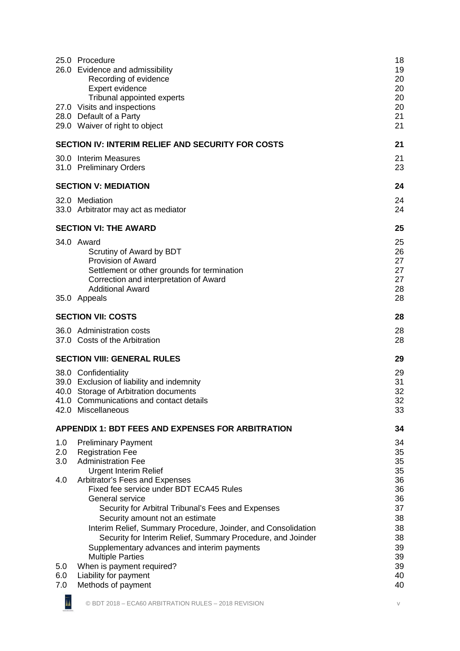|                   | 25.0 Procedure<br>26.0 Evidence and admissibility<br>Recording of evidence<br>Expert evidence<br>Tribunal appointed experts                                                                                                                                                                                                                                                                                                  | 18<br>19<br>20<br>20<br>20                               |
|-------------------|------------------------------------------------------------------------------------------------------------------------------------------------------------------------------------------------------------------------------------------------------------------------------------------------------------------------------------------------------------------------------------------------------------------------------|----------------------------------------------------------|
|                   | 27.0 Visits and inspections<br>28.0 Default of a Party<br>29.0 Waiver of right to object                                                                                                                                                                                                                                                                                                                                     | 20<br>21<br>21                                           |
|                   | <b>SECTION IV: INTERIM RELIEF AND SECURITY FOR COSTS</b>                                                                                                                                                                                                                                                                                                                                                                     | 21                                                       |
|                   | 30.0 Interim Measures<br>31.0 Preliminary Orders                                                                                                                                                                                                                                                                                                                                                                             | 21<br>23                                                 |
|                   | <b>SECTION V: MEDIATION</b>                                                                                                                                                                                                                                                                                                                                                                                                  | 24                                                       |
|                   | 32.0 Mediation<br>33.0 Arbitrator may act as mediator                                                                                                                                                                                                                                                                                                                                                                        | 24<br>24                                                 |
|                   | <b>SECTION VI: THE AWARD</b>                                                                                                                                                                                                                                                                                                                                                                                                 | 25                                                       |
|                   | 34.0 Award<br>Scrutiny of Award by BDT<br>Provision of Award<br>Settlement or other grounds for termination<br>Correction and interpretation of Award<br><b>Additional Award</b>                                                                                                                                                                                                                                             | 25<br>26<br>27<br>27<br>27<br>28                         |
|                   | 35.0 Appeals                                                                                                                                                                                                                                                                                                                                                                                                                 | 28                                                       |
|                   | <b>SECTION VII: COSTS</b>                                                                                                                                                                                                                                                                                                                                                                                                    | 28                                                       |
|                   | 36.0 Administration costs<br>37.0 Costs of the Arbitration                                                                                                                                                                                                                                                                                                                                                                   | 28<br>28                                                 |
|                   | <b>SECTION VIII: GENERAL RULES</b>                                                                                                                                                                                                                                                                                                                                                                                           | 29                                                       |
|                   | 38.0 Confidentiality<br>39.0 Exclusion of liability and indemnity<br>40.0 Storage of Arbitration documents<br>41.0 Communications and contact details<br>42.0 Miscellaneous                                                                                                                                                                                                                                                  | 29<br>31<br>32<br>32<br>33                               |
|                   | <b>APPENDIX 1: BDT FEES AND EXPENSES FOR ARBITRATION</b>                                                                                                                                                                                                                                                                                                                                                                     | 34                                                       |
| 1.0<br>2.0<br>3.0 | <b>Preliminary Payment</b><br><b>Registration Fee</b><br><b>Administration Fee</b><br><b>Urgent Interim Relief</b>                                                                                                                                                                                                                                                                                                           | 34<br>35<br>35<br>35                                     |
| 4.0<br>5.0        | Arbitrator's Fees and Expenses<br>Fixed fee service under BDT ECA45 Rules<br>General service<br>Security for Arbitral Tribunal's Fees and Expenses<br>Security amount not an estimate<br>Interim Relief, Summary Procedure, Joinder, and Consolidation<br>Security for Interim Relief, Summary Procedure, and Joinder<br>Supplementary advances and interim payments<br><b>Multiple Parties</b><br>When is payment required? | 36<br>36<br>36<br>37<br>38<br>38<br>38<br>39<br>39<br>39 |
| 6.0<br>7.0        | Liability for payment<br>Methods of payment                                                                                                                                                                                                                                                                                                                                                                                  | 40<br>40                                                 |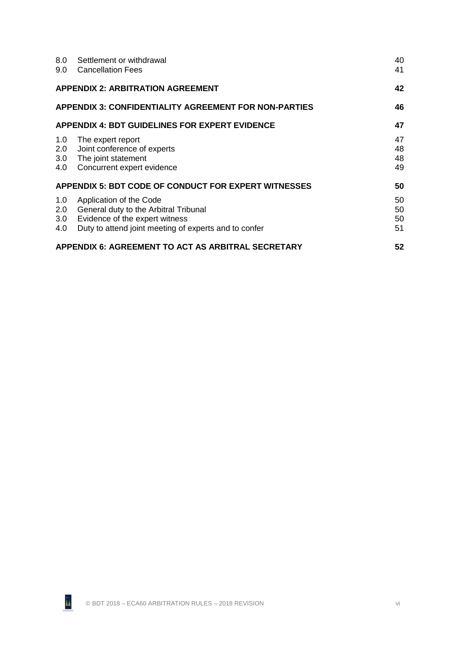|                          | 8.0 Settlement or withdrawal<br>9.0 Cancellation Fees                                                                                                              | 40<br>41             |
|--------------------------|--------------------------------------------------------------------------------------------------------------------------------------------------------------------|----------------------|
|                          | <b>APPENDIX 2: ARBITRATION AGREEMENT</b>                                                                                                                           | 42                   |
|                          | <b>APPENDIX 3: CONFIDENTIALITY AGREEMENT FOR NON-PARTIES</b>                                                                                                       | 46                   |
|                          | <b>APPENDIX 4: BDT GUIDELINES FOR EXPERT EVIDENCE</b>                                                                                                              | 47                   |
| 1.0<br>2.0<br>3.0        | The expert report<br>Joint conference of experts<br>The joint statement<br>4.0 Concurrent expert evidence                                                          | 47<br>48<br>48<br>49 |
|                          | <b>APPENDIX 5: BDT CODE OF CONDUCT FOR EXPERT WITNESSES</b>                                                                                                        | 50                   |
| 1.0<br>2.0<br>3.0<br>4.0 | Application of the Code<br><b>General duty to the Arbitral Tribunal</b><br>Evidence of the expert witness<br>Duty to attend joint meeting of experts and to confer | 50<br>50<br>50<br>51 |
|                          | APPENDIX 6: AGREEMENT TO ACT AS ARBITRAL SECRETARY                                                                                                                 | 52                   |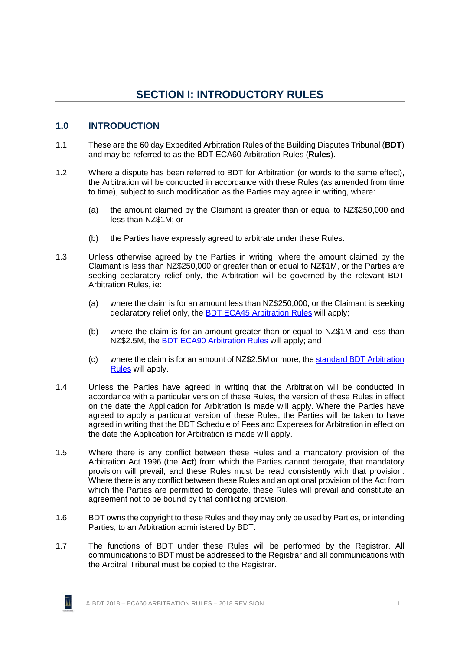# **SECTION I: INTRODUCTORY RULES**

### <span id="page-7-1"></span><span id="page-7-0"></span>**1.0 INTRODUCTION**

- 1.1 These are the 60 day Expedited Arbitration Rules of the Building Disputes Tribunal (**BDT**) and may be referred to as the BDT ECA60 Arbitration Rules (**Rules**).
- 1.2 Where a dispute has been referred to BDT for Arbitration (or words to the same effect), the Arbitration will be conducted in accordance with these Rules (as amended from time to time), subject to such modification as the Parties may agree in writing, where:
	- (a) the amount claimed by the Claimant is greater than or equal to NZ\$250,000 and less than NZ\$1M; or
	- (b) the Parties have expressly agreed to arbitrate under these Rules.
- 1.3 Unless otherwise agreed by the Parties in writing, where the amount claimed by the Claimant is less than NZ\$250,000 or greater than or equal to NZ\$1M, or the Parties are seeking declaratory relief only, the Arbitration will be governed by the relevant BDT Arbitration Rules, ie:
	- (a) where the claim is for an amount less than NZ\$250,000, or the Claimant is seeking declaratory relief only, the BDT ECA45 [Arbitration Rules](http://buildingdisputestribunal.co.nz/Arbitration/Arbitration+Rules/BDT+ECA45+Rules.html) will apply;
	- (b) where the claim is for an amount greater than or equal to NZ\$1M and less than NZ\$2.5M, the BDT [ECA90 Arbitration Rules](http://buildingdisputestribunal.co.nz/Arbitration/Arbitration+Rules/BDT+ECA90+Rules.html) will apply; and
	- (c) where the claim is for an amount of NZ\$2.5M or more, the [standard BDT](http://buildingdisputestribunal.co.nz/Arbitration/Arbitration+Rules/Standard+Arbitration+Rules.html) Arbitration [Rules](http://buildingdisputestribunal.co.nz/Arbitration/Arbitration+Rules/Standard+Arbitration+Rules.html) will apply.
- 1.4 Unless the Parties have agreed in writing that the Arbitration will be conducted in accordance with a particular version of these Rules, the version of these Rules in effect on the date the Application for Arbitration is made will apply. Where the Parties have agreed to apply a particular version of these Rules, the Parties will be taken to have agreed in writing that the BDT Schedule of Fees and Expenses for Arbitration in effect on the date the Application for Arbitration is made will apply.
- 1.5 Where there is any conflict between these Rules and a mandatory provision of the Arbitration Act 1996 (the **Act**) from which the Parties cannot derogate, that mandatory provision will prevail, and these Rules must be read consistently with that provision. Where there is any conflict between these Rules and an optional provision of the Act from which the Parties are permitted to derogate, these Rules will prevail and constitute an agreement not to be bound by that conflicting provision.
- 1.6 BDT owns the copyright to these Rules and they may only be used by Parties, or intending Parties, to an Arbitration administered by BDT.
- 1.7 The functions of BDT under these Rules will be performed by the Registrar. All communications to BDT must be addressed to the Registrar and all communications with the Arbitral Tribunal must be copied to the Registrar.

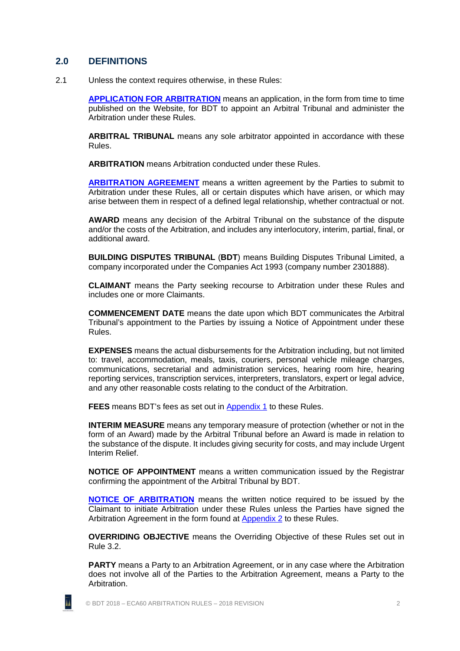### <span id="page-8-0"></span>**2.0 DEFINITIONS**

2.1 Unless the context requires otherwise, in these Rules:

**[APPLICATION FOR ARBITRATION](http://buildingdisputestribunal.co.nz/Arbitration/Apply+for+Arbitration.html)** means an application, in the form from time to time published on the Website, for BDT to appoint an Arbitral Tribunal and administer the Arbitration under these Rules.

**ARBITRAL TRIBUNAL** means any sole arbitrator appointed in accordance with these Rules.

**ARBITRATION** means Arbitration conducted under these Rules.

**[ARBITRATION AGREEMENT](http://buildingdisputestribunal.co.nz/Arbitration/Arbitration+Guides+and+Resources.html)** means a written agreement by the Parties to submit to Arbitration under these Rules, all or certain disputes which have arisen, or which may arise between them in respect of a defined legal relationship, whether contractual or not.

**AWARD** means any decision of the Arbitral Tribunal on the substance of the dispute and/or the costs of the Arbitration, and includes any interlocutory, interim, partial, final, or additional award.

**BUILDING DISPUTES TRIBUNAL** (**BDT**) means Building Disputes Tribunal Limited, a company incorporated under the Companies Act 1993 (company number 2301888).

**CLAIMANT** means the Party seeking recourse to Arbitration under these Rules and includes one or more Claimants.

**COMMENCEMENT DATE** means the date upon which BDT communicates the Arbitral Tribunal's appointment to the Parties by issuing a Notice of Appointment under these Rules.

**EXPENSES** means the actual disbursements for the Arbitration including, but not limited to: travel, accommodation, meals, taxis, couriers, personal vehicle mileage charges, communications, secretarial and administration services, hearing room hire, hearing reporting services, transcription services, interpreters, translators, expert or legal advice, and any other reasonable costs relating to the conduct of the Arbitration.

**FEES** means BDT's fees as set out in [Appendix 1](#page-40-0) to these Rules.

**INTERIM MEASURE** means any temporary measure of protection (whether or not in the form of an Award) made by the Arbitral Tribunal before an Award is made in relation to the substance of the dispute. It includes giving security for costs, and may include Urgent Interim Relief.

**NOTICE OF APPOINTMENT** means a written communication issued by the Registrar confirming the appointment of the Arbitral Tribunal by BDT.

**[NOTICE OF ARBITRATION](http://buildingdisputestribunal.co.nz/Arbitration/Arbitration+Guides+and+Resources.html)** means the written notice required to be issued by the Claimant to initiate Arbitration under these Rules unless the Parties have signed the Arbitration Agreement in the form found at [Appendix 2](#page-48-0) to these Rules.

**OVERRIDING OBJECTIVE** means the Overriding Objective of these Rules set out in Rule [3.2.](#page-9-1)

**PARTY** means a Party to an Arbitration Agreement, or in any case where the Arbitration does not involve all of the Parties to the Arbitration Agreement, means a Party to the **Arbitration** 



īı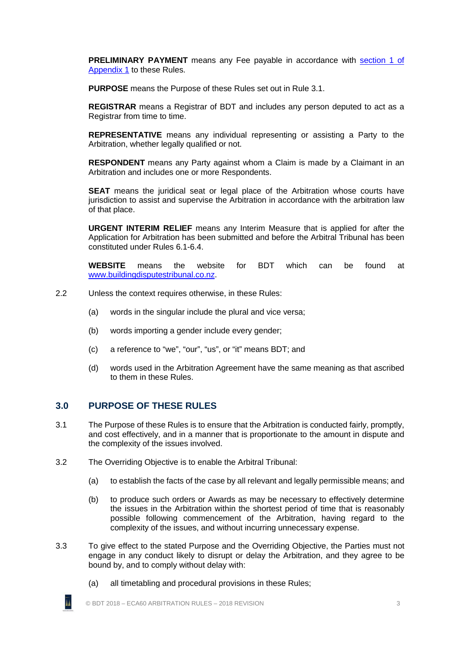**PRELIMINARY PAYMENT** means any Fee payable in accordance with [section 1 of](#page-40-1)  [Appendix 1](#page-40-1) to these Rules.

**PURPOSE** means the Purpose of these Rules set out in Rule [3.1.](#page-9-2)

**REGISTRAR** means a Registrar of BDT and includes any person deputed to act as a Registrar from time to time.

**REPRESENTATIVE** means any individual representing or assisting a Party to the Arbitration, whether legally qualified or not.

**RESPONDENT** means any Party against whom a Claim is made by a Claimant in an Arbitration and includes one or more Respondents.

**SEAT** means the juridical seat or legal place of the Arbitration whose courts have jurisdiction to assist and supervise the Arbitration in accordance with the arbitration law of that place.

**URGENT INTERIM RELIEF** means any Interim Measure that is applied for after the Application for Arbitration has been submitted and before the Arbitral Tribunal has been constituted under Rules [6.1-](#page-12-4)[6.4.](#page-12-5)

**WEBSITE** means the website for BDT which can be found at [www.buildingdisputestribunal.co.nz.](http://www.buildingdisputestribunal.co.nz/)

- 2.2 Unless the context requires otherwise, in these Rules:
	- (a) words in the singular include the plural and vice versa;
	- (b) words importing a gender include every gender;
	- (c) a reference to "we", "our", "us", or "it" means BDT; and
	- (d) words used in the Arbitration Agreement have the same meaning as that ascribed to them in these Rules.

#### <span id="page-9-0"></span>**3.0 PURPOSE OF THESE RULES**

- <span id="page-9-2"></span>3.1 The Purpose of these Rules is to ensure that the Arbitration is conducted fairly, promptly, and cost effectively, and in a manner that is proportionate to the amount in dispute and the complexity of the issues involved.
- <span id="page-9-1"></span>3.2 The Overriding Objective is to enable the Arbitral Tribunal:
	- (a) to establish the facts of the case by all relevant and legally permissible means; and
	- (b) to produce such orders or Awards as may be necessary to effectively determine the issues in the Arbitration within the shortest period of time that is reasonably possible following commencement of the Arbitration, having regard to the complexity of the issues, and without incurring unnecessary expense.
- 3.3 To give effect to the stated Purpose and the Overriding Objective, the Parties must not engage in any conduct likely to disrupt or delay the Arbitration, and they agree to be bound by, and to comply without delay with:
	- īı
- (a) all timetabling and procedural provisions in these Rules;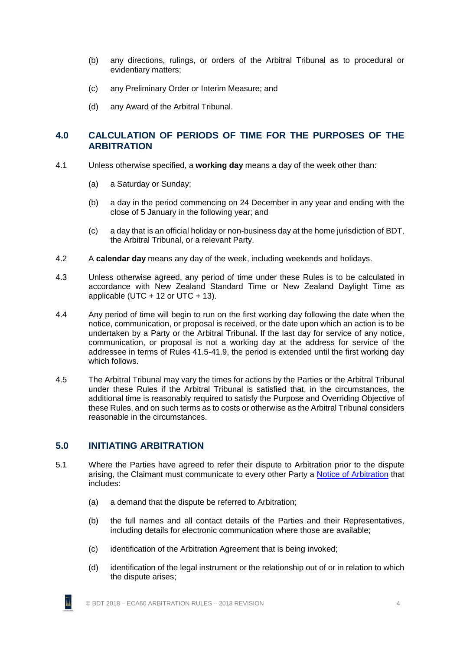- (b) any directions, rulings, or orders of the Arbitral Tribunal as to procedural or evidentiary matters;
- (c) any Preliminary Order or Interim Measure; and
- (d) any Award of the Arbitral Tribunal.

# <span id="page-10-0"></span>**4.0 CALCULATION OF PERIODS OF TIME FOR THE PURPOSES OF THE ARBITRATION**

- 4.1 Unless otherwise specified, a **working day** means a day of the week other than:
	- (a) a Saturday or Sunday;
	- (b) a day in the period commencing on 24 December in any year and ending with the close of 5 January in the following year; and
	- (c) a day that is an official holiday or non-business day at the home jurisdiction of BDT, the Arbitral Tribunal, or a relevant Party.
- 4.2 A **calendar day** means any day of the week, including weekends and holidays.
- 4.3 Unless otherwise agreed, any period of time under these Rules is to be calculated in accordance with New Zealand Standard Time or New Zealand Daylight Time as applicable (UTC  $+ 12$  or UTC  $+ 13$ ).
- 4.4 Any period of time will begin to run on the first working day following the date when the notice, communication, or proposal is received, or the date upon which an action is to be undertaken by a Party or the Arbitral Tribunal. If the last day for service of any notice, communication, or proposal is not a working day at the address for service of the addressee in terms of Rules [41.5](#page-38-2)[-41.9,](#page-38-3) the period is extended until the first working day which follows.
- 4.5 The Arbitral Tribunal may vary the times for actions by the Parties or the Arbitral Tribunal under these Rules if the Arbitral Tribunal is satisfied that, in the circumstances, the additional time is reasonably required to satisfy the Purpose and Overriding Objective of these Rules, and on such terms as to costs or otherwise as the Arbitral Tribunal considers reasonable in the circumstances.

# <span id="page-10-1"></span>**5.0 INITIATING ARBITRATION**

- <span id="page-10-2"></span>5.1 Where the Parties have agreed to refer their dispute to Arbitration prior to the dispute arising, the Claimant must communicate to every other Party a [Notice of Arbitration](http://buildingdisputestribunal.co.nz/Arbitration/Arbitration+Guides+and+Resources.html) that includes:
	- (a) a demand that the dispute be referred to Arbitration;
	- (b) the full names and all contact details of the Parties and their Representatives, including details for electronic communication where those are available;
	- (c) identification of the Arbitration Agreement that is being invoked;
	- (d) identification of the legal instrument or the relationship out of or in relation to which the dispute arises;

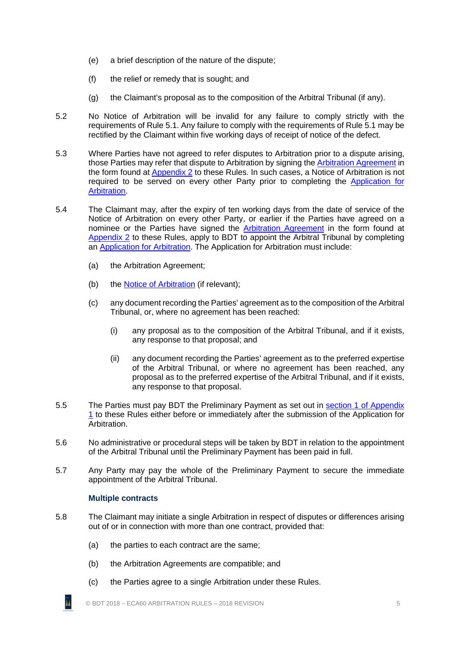- (e) a brief description of the nature of the dispute;
- (f) the relief or remedy that is sought; and
- (g) the Claimant's proposal as to the composition of the Arbitral Tribunal (if any).
- 5.2 No Notice of Arbitration will be invalid for any failure to comply strictly with the requirements of Rule [5.1.](#page-10-2) Any failure to comply with the requirements of Rule [5.1](#page-10-2) may be rectified by the Claimant within five working days of receipt of notice of the defect.
- 5.3 Where Parties have not agreed to refer disputes to Arbitration prior to a dispute arising, those Parties may refer that dispute to Arbitration by signing th[e Arbitration Agreement](http://buildingdisputestribunal.co.nz/Arbitration/Arbitration+Guides+and+Resources.html) in the form found at [Appendix 2](#page-48-0) to these Rules. In such cases, a Notice of Arbitration is not required to be served on every other Party prior to completing the [Application for](http://buildingdisputestribunal.co.nz/Arbitration/Apply+for+Arbitration.html)  [Arbitration.](http://buildingdisputestribunal.co.nz/Arbitration/Apply+for+Arbitration.html)
- <span id="page-11-4"></span><span id="page-11-3"></span>5.4 The Claimant may, after the expiry of ten working days from the date of service of the Notice of Arbitration on every other Party, or earlier if the Parties have agreed on a nominee or the Parties have signed the [Arbitration Agreement](http://buildingdisputestribunal.co.nz/Arbitration/Arbitration+Guides+and+Resources.html) in the form found at [Appendix 2](#page-48-0) to these Rules, apply to BDT to appoint the Arbitral Tribunal by completing an [Application for Arbitration.](http://buildingdisputestribunal.co.nz/Arbitration/Apply+for+Arbitration.html) The Application for Arbitration must include:
	- (a) the Arbitration Agreement;
	- (b) the [Notice of Arbitration](http://buildingdisputestribunal.co.nz/Arbitration/Arbitration+Guides+and+Resources.html) (if relevant);
	- (c) any document recording the Parties' agreement as to the composition of the Arbitral Tribunal, or, where no agreement has been reached:
		- (i) any proposal as to the composition of the Arbitral Tribunal, and if it exists, any response to that proposal; and
		- (ii) any document recording the Parties' agreement as to the preferred expertise of the Arbitral Tribunal, or where no agreement has been reached, any proposal as to the preferred expertise of the Arbitral Tribunal, and if it exists, any response to that proposal.
- <span id="page-11-1"></span>5.5 The Parties must pay BDT the Preliminary Payment as set out in [section 1 of Appendix](#page-40-1)  [1](#page-40-1) to these Rules either before or immediately after the submission of the Application for Arbitration.
- 5.6 No administrative or procedural steps will be taken by BDT in relation to the appointment of the Arbitral Tribunal until the Preliminary Payment has been paid in full.
- <span id="page-11-2"></span><span id="page-11-0"></span>5.7 Any Party may pay the whole of the Preliminary Payment to secure the immediate appointment of the Arbitral Tribunal.

#### **Multiple contracts**

īı

- 5.8 The Claimant may initiate a single Arbitration in respect of disputes or differences arising out of or in connection with more than one contract, provided that:
	- (a) the parties to each contract are the same;
	- (b) the Arbitration Agreements are compatible; and
	- (c) the Parties agree to a single Arbitration under these Rules.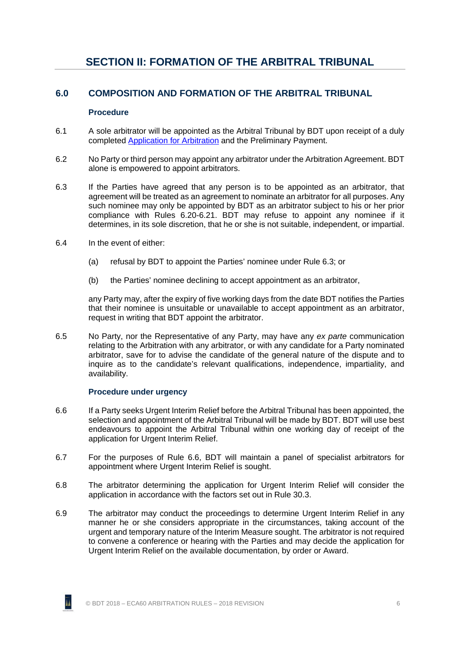# <span id="page-12-1"></span><span id="page-12-0"></span>**6.0 COMPOSITION AND FORMATION OF THE ARBITRAL TRIBUNAL**

#### **Procedure**

- <span id="page-12-4"></span><span id="page-12-2"></span>6.1 A sole arbitrator will be appointed as the Arbitral Tribunal by BDT upon receipt of a duly completed [Application for Arbitration](http://buildingdisputestribunal.co.nz/Arbitration/Apply+for+Arbitration.html) and the Preliminary Payment.
- 6.2 No Party or third person may appoint any arbitrator under the Arbitration Agreement. BDT alone is empowered to appoint arbitrators.
- <span id="page-12-6"></span>6.3 If the Parties have agreed that any person is to be appointed as an arbitrator, that agreement will be treated as an agreement to nominate an arbitrator for all purposes. Any such nominee may only be appointed by BDT as an arbitrator subject to his or her prior compliance with Rules [6.20](#page-14-1)[-6.21.](#page-14-2) BDT may refuse to appoint any nominee if it determines, in its sole discretion, that he or she is not suitable, independent, or impartial.
- <span id="page-12-5"></span>6.4 In the event of either:
	- (a) refusal by BDT to appoint the Parties' nominee under Rule [6.3;](#page-12-6) or
	- (b) the Parties' nominee declining to accept appointment as an arbitrator,

any Party may, after the expiry of five working days from the date BDT notifies the Parties that their nominee is unsuitable or unavailable to accept appointment as an arbitrator, request in writing that BDT appoint the arbitrator.

6.5 No Party, nor the Representative of any Party, may have any *ex parte* communication relating to the Arbitration with any arbitrator, or with any candidate for a Party nominated arbitrator, save for to advise the candidate of the general nature of the dispute and to inquire as to the candidate's relevant qualifications, independence, impartiality, and availability.

#### **Procedure under urgency**

- <span id="page-12-7"></span><span id="page-12-3"></span>6.6 If a Party seeks Urgent Interim Relief before the Arbitral Tribunal has been appointed, the selection and appointment of the Arbitral Tribunal will be made by BDT. BDT will use best endeavours to appoint the Arbitral Tribunal within one working day of receipt of the application for Urgent Interim Relief.
- 6.7 For the purposes of Rule [6.6,](#page-12-7) BDT will maintain a panel of specialist arbitrators for appointment where Urgent Interim Relief is sought.
- 6.8 The arbitrator determining the application for Urgent Interim Relief will consider the application in accordance with the factors set out in Rule [30.3.](#page-28-0)
- 6.9 The arbitrator may conduct the proceedings to determine Urgent Interim Relief in any manner he or she considers appropriate in the circumstances, taking account of the urgent and temporary nature of the Interim Measure sought. The arbitrator is not required to convene a conference or hearing with the Parties and may decide the application for Urgent Interim Relief on the available documentation, by order or Award.

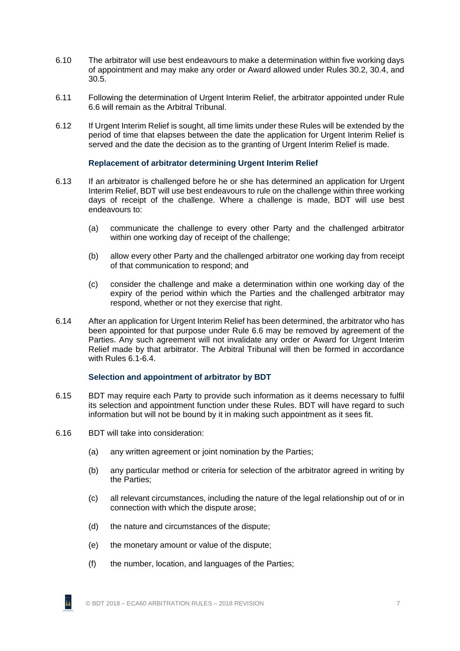- 6.10 The arbitrator will use best endeavours to make a determination within five working days of appointment and may make any order or Award allowed under Rules [30.2,](#page-27-4) [30.4,](#page-28-1) and [30.5.](#page-28-2)
- 6.11 Following the determination of Urgent Interim Relief, the arbitrator appointed under Rule [6.6](#page-12-7) will remain as the Arbitral Tribunal.
- <span id="page-13-0"></span>6.12 If Urgent Interim Relief is sought, all time limits under these Rules will be extended by the period of time that elapses between the date the application for Urgent Interim Relief is served and the date the decision as to the granting of Urgent Interim Relief is made.

#### **Replacement of arbitrator determining Urgent Interim Relief**

- 6.13 If an arbitrator is challenged before he or she has determined an application for Urgent Interim Relief, BDT will use best endeavours to rule on the challenge within three working days of receipt of the challenge. Where a challenge is made, BDT will use best endeavours to:
	- (a) communicate the challenge to every other Party and the challenged arbitrator within one working day of receipt of the challenge;
	- (b) allow every other Party and the challenged arbitrator one working day from receipt of that communication to respond; and
	- (c) consider the challenge and make a determination within one working day of the expiry of the period within which the Parties and the challenged arbitrator may respond, whether or not they exercise that right.
- 6.14 After an application for Urgent Interim Relief has been determined, the arbitrator who has been appointed for that purpose under Rule [6.6](#page-12-7) may be removed by agreement of the Parties. Any such agreement will not invalidate any order or Award for Urgent Interim Relief made by that arbitrator. The Arbitral Tribunal will then be formed in accordance with Rules [6.1-](#page-12-4)[6.4.](#page-12-5)

#### **Selection and appointment of arbitrator by BDT**

- <span id="page-13-1"></span>6.15 BDT may require each Party to provide such information as it deems necessary to fulfil its selection and appointment function under these Rules. BDT will have regard to such information but will not be bound by it in making such appointment as it sees fit.
- 6.16 BDT will take into consideration:

ĀÁ

- (a) any written agreement or joint nomination by the Parties;
- (b) any particular method or criteria for selection of the arbitrator agreed in writing by the Parties;
- (c) all relevant circumstances, including the nature of the legal relationship out of or in connection with which the dispute arose;
- (d) the nature and circumstances of the dispute;
- (e) the monetary amount or value of the dispute;
- (f) the number, location, and languages of the Parties;

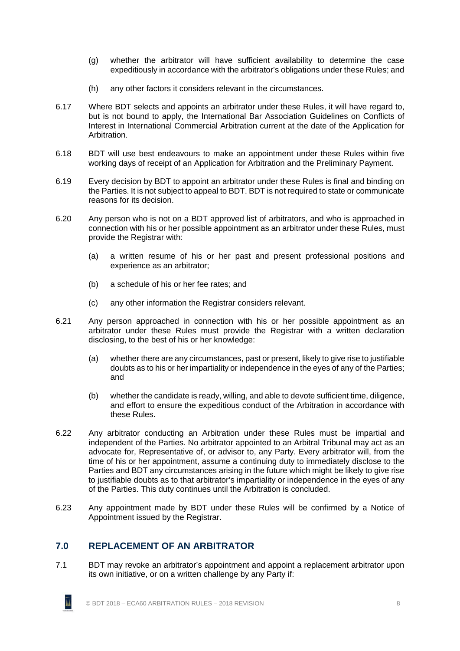- (g) whether the arbitrator will have sufficient availability to determine the case expeditiously in accordance with the arbitrator's obligations under these Rules; and
- (h) any other factors it considers relevant in the circumstances.
- 6.17 Where BDT selects and appoints an arbitrator under these Rules, it will have regard to, but is not bound to apply, the International Bar Association Guidelines on Conflicts of Interest in International Commercial Arbitration current at the date of the Application for Arbitration.
- <span id="page-14-4"></span>6.18 BDT will use best endeavours to make an appointment under these Rules within five working days of receipt of an Application for Arbitration and the Preliminary Payment.
- 6.19 Every decision by BDT to appoint an arbitrator under these Rules is final and binding on the Parties. It is not subject to appeal to BDT. BDT is not required to state or communicate reasons for its decision.
- <span id="page-14-1"></span>6.20 Any person who is not on a BDT approved list of arbitrators, and who is approached in connection with his or her possible appointment as an arbitrator under these Rules, must provide the Registrar with:
	- (a) a written resume of his or her past and present professional positions and experience as an arbitrator;
	- (b) a schedule of his or her fee rates; and
	- (c) any other information the Registrar considers relevant.
- <span id="page-14-2"></span>6.21 Any person approached in connection with his or her possible appointment as an arbitrator under these Rules must provide the Registrar with a written declaration disclosing, to the best of his or her knowledge:
	- (a) whether there are any circumstances, past or present, likely to give rise to justifiable doubts as to his or her impartiality or independence in the eyes of any of the Parties; and
	- (b) whether the candidate is ready, willing, and able to devote sufficient time, diligence, and effort to ensure the expeditious conduct of the Arbitration in accordance with these Rules.
- 6.22 Any arbitrator conducting an Arbitration under these Rules must be impartial and independent of the Parties. No arbitrator appointed to an Arbitral Tribunal may act as an advocate for, Representative of, or advisor to, any Party. Every arbitrator will, from the time of his or her appointment, assume a continuing duty to immediately disclose to the Parties and BDT any circumstances arising in the future which might be likely to give rise to justifiable doubts as to that arbitrator's impartiality or independence in the eyes of any of the Parties. This duty continues until the Arbitration is concluded.
- <span id="page-14-0"></span>6.23 Any appointment made by BDT under these Rules will be confirmed by a Notice of Appointment issued by the Registrar.

# **7.0 REPLACEMENT OF AN ARBITRATOR**

<span id="page-14-3"></span>7.1 BDT may revoke an arbitrator's appointment and appoint a replacement arbitrator upon its own initiative, or on a written challenge by any Party if:

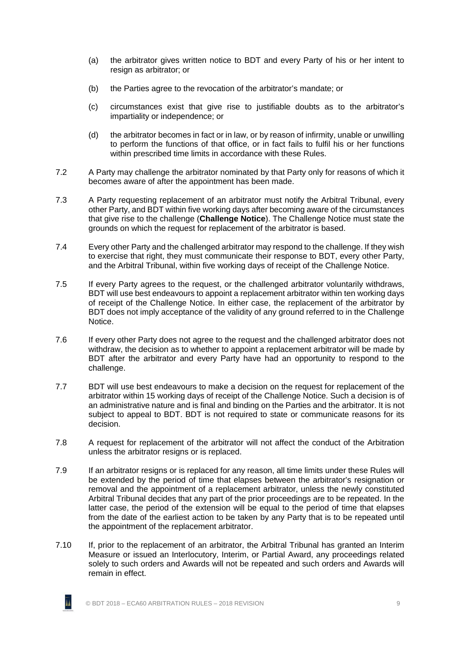- (a) the arbitrator gives written notice to BDT and every Party of his or her intent to resign as arbitrator; or
- (b) the Parties agree to the revocation of the arbitrator's mandate; or
- (c) circumstances exist that give rise to justifiable doubts as to the arbitrator's impartiality or independence; or
- (d) the arbitrator becomes in fact or in law, or by reason of infirmity, unable or unwilling to perform the functions of that office, or in fact fails to fulfil his or her functions within prescribed time limits in accordance with these Rules.
- <span id="page-15-1"></span>7.2 A Party may challenge the arbitrator nominated by that Party only for reasons of which it becomes aware of after the appointment has been made.
- 7.3 A Party requesting replacement of an arbitrator must notify the Arbitral Tribunal, every other Party, and BDT within five working days after becoming aware of the circumstances that give rise to the challenge (**Challenge Notice**). The Challenge Notice must state the grounds on which the request for replacement of the arbitrator is based.
- 7.4 Every other Party and the challenged arbitrator may respond to the challenge. If they wish to exercise that right, they must communicate their response to BDT, every other Party, and the Arbitral Tribunal, within five working days of receipt of the Challenge Notice.
- 7.5 If every Party agrees to the request, or the challenged arbitrator voluntarily withdraws, BDT will use best endeavours to appoint a replacement arbitrator within ten working days of receipt of the Challenge Notice. In either case, the replacement of the arbitrator by BDT does not imply acceptance of the validity of any ground referred to in the Challenge Notice.
- 7.6 If every other Party does not agree to the request and the challenged arbitrator does not withdraw, the decision as to whether to appoint a replacement arbitrator will be made by BDT after the arbitrator and every Party have had an opportunity to respond to the challenge.
- <span id="page-15-0"></span>7.7 BDT will use best endeavours to make a decision on the request for replacement of the arbitrator within 15 working days of receipt of the Challenge Notice. Such a decision is of an administrative nature and is final and binding on the Parties and the arbitrator. It is not subject to appeal to BDT. BDT is not required to state or communicate reasons for its decision.
- 7.8 A request for replacement of the arbitrator will not affect the conduct of the Arbitration unless the arbitrator resigns or is replaced.
- 7.9 If an arbitrator resigns or is replaced for any reason, all time limits under these Rules will be extended by the period of time that elapses between the arbitrator's resignation or removal and the appointment of a replacement arbitrator, unless the newly constituted Arbitral Tribunal decides that any part of the prior proceedings are to be repeated. In the latter case, the period of the extension will be equal to the period of time that elapses from the date of the earliest action to be taken by any Party that is to be repeated until the appointment of the replacement arbitrator.
- 7.10 If, prior to the replacement of an arbitrator, the Arbitral Tribunal has granted an Interim Measure or issued an Interlocutory, Interim, or Partial Award, any proceedings related solely to such orders and Awards will not be repeated and such orders and Awards will remain in effect.

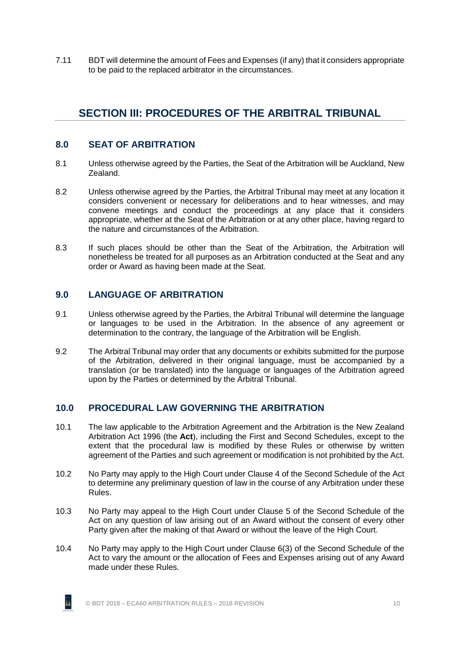<span id="page-16-0"></span>7.11 BDT will determine the amount of Fees and Expenses (if any) that it considers appropriate to be paid to the replaced arbitrator in the circumstances.

# **SECTION III: PROCEDURES OF THE ARBITRAL TRIBUNAL**

### <span id="page-16-1"></span>**8.0 SEAT OF ARBITRATION**

- 8.1 Unless otherwise agreed by the Parties, the Seat of the Arbitration will be Auckland, New Zealand.
- 8.2 Unless otherwise agreed by the Parties, the Arbitral Tribunal may meet at any location it considers convenient or necessary for deliberations and to hear witnesses, and may convene meetings and conduct the proceedings at any place that it considers appropriate, whether at the Seat of the Arbitration or at any other place, having regard to the nature and circumstances of the Arbitration.
- 8.3 If such places should be other than the Seat of the Arbitration, the Arbitration will nonetheless be treated for all purposes as an Arbitration conducted at the Seat and any order or Award as having been made at the Seat.

# <span id="page-16-2"></span>**9.0 LANGUAGE OF ARBITRATION**

- 9.1 Unless otherwise agreed by the Parties, the Arbitral Tribunal will determine the language or languages to be used in the Arbitration. In the absence of any agreement or determination to the contrary, the language of the Arbitration will be English.
- 9.2 The Arbitral Tribunal may order that any documents or exhibits submitted for the purpose of the Arbitration, delivered in their original language, must be accompanied by a translation (or be translated) into the language or languages of the Arbitration agreed upon by the Parties or determined by the Arbitral Tribunal.

# <span id="page-16-3"></span>**10.0 PROCEDURAL LAW GOVERNING THE ARBITRATION**

- 10.1 The law applicable to the Arbitration Agreement and the Arbitration is the New Zealand Arbitration Act 1996 (the **Act**), including the First and Second Schedules, except to the extent that the procedural law is modified by these Rules or otherwise by written agreement of the Parties and such agreement or modification is not prohibited by the Act.
- 10.2 No Party may apply to the High Court under Clause 4 of the Second Schedule of the Act to determine any preliminary question of law in the course of any Arbitration under these Rules.
- 10.3 No Party may appeal to the High Court under Clause 5 of the Second Schedule of the Act on any question of law arising out of an Award without the consent of every other Party given after the making of that Award or without the leave of the High Court.
- 10.4 No Party may apply to the High Court under Clause 6(3) of the Second Schedule of the Act to vary the amount or the allocation of Fees and Expenses arising out of any Award made under these Rules.

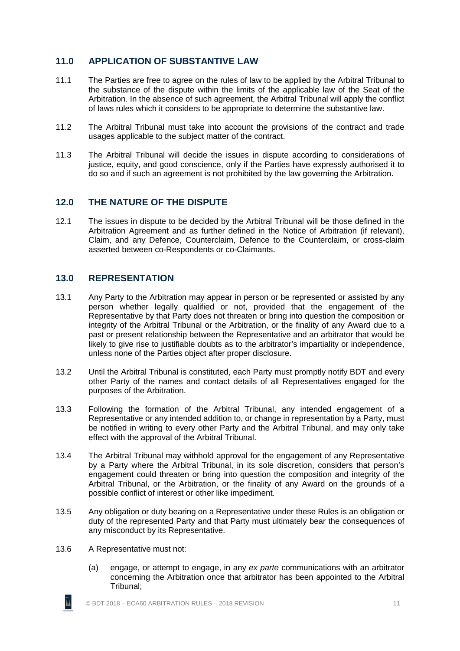# <span id="page-17-0"></span>**11.0 APPLICATION OF SUBSTANTIVE LAW**

- 11.1 The Parties are free to agree on the rules of law to be applied by the Arbitral Tribunal to the substance of the dispute within the limits of the applicable law of the Seat of the Arbitration. In the absence of such agreement, the Arbitral Tribunal will apply the conflict of laws rules which it considers to be appropriate to determine the substantive law.
- 11.2 The Arbitral Tribunal must take into account the provisions of the contract and trade usages applicable to the subject matter of the contract.
- 11.3 The Arbitral Tribunal will decide the issues in dispute according to considerations of justice, equity, and good conscience, only if the Parties have expressly authorised it to do so and if such an agreement is not prohibited by the law governing the Arbitration.

### <span id="page-17-1"></span>**12.0 THE NATURE OF THE DISPUTE**

12.1 The issues in dispute to be decided by the Arbitral Tribunal will be those defined in the Arbitration Agreement and as further defined in the Notice of Arbitration (if relevant), Claim, and any Defence, Counterclaim, Defence to the Counterclaim, or cross-claim asserted between co-Respondents or co-Claimants.

### <span id="page-17-2"></span>**13.0 REPRESENTATION**

- 13.1 Any Party to the Arbitration may appear in person or be represented or assisted by any person whether legally qualified or not, provided that the engagement of the Representative by that Party does not threaten or bring into question the composition or integrity of the Arbitral Tribunal or the Arbitration, or the finality of any Award due to a past or present relationship between the Representative and an arbitrator that would be likely to give rise to justifiable doubts as to the arbitrator's impartiality or independence, unless none of the Parties object after proper disclosure.
- 13.2 Until the Arbitral Tribunal is constituted, each Party must promptly notify BDT and every other Party of the names and contact details of all Representatives engaged for the purposes of the Arbitration.
- 13.3 Following the formation of the Arbitral Tribunal, any intended engagement of a Representative or any intended addition to, or change in representation by a Party, must be notified in writing to every other Party and the Arbitral Tribunal, and may only take effect with the approval of the Arbitral Tribunal.
- 13.4 The Arbitral Tribunal may withhold approval for the engagement of any Representative by a Party where the Arbitral Tribunal, in its sole discretion, considers that person's engagement could threaten or bring into question the composition and integrity of the Arbitral Tribunal, or the Arbitration, or the finality of any Award on the grounds of a possible conflict of interest or other like impediment.
- 13.5 Any obligation or duty bearing on a Representative under these Rules is an obligation or duty of the represented Party and that Party must ultimately bear the consequences of any misconduct by its Representative.
- <span id="page-17-3"></span>13.6 A Representative must not:

īı

(a) engage, or attempt to engage, in any *ex parte* communications with an arbitrator concerning the Arbitration once that arbitrator has been appointed to the Arbitral Tribunal;

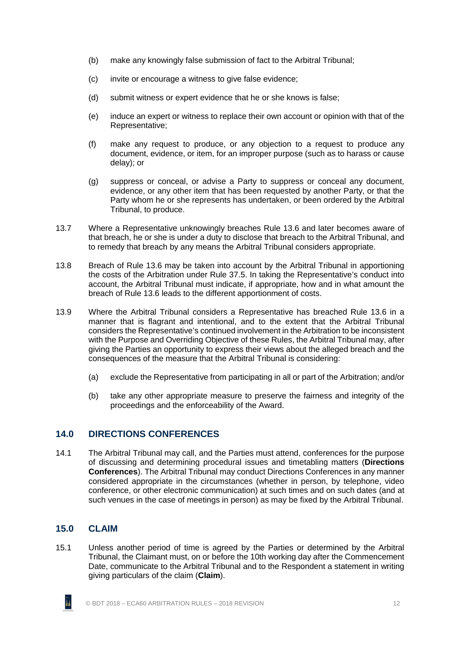- (b) make any knowingly false submission of fact to the Arbitral Tribunal;
- (c) invite or encourage a witness to give false evidence;
- (d) submit witness or expert evidence that he or she knows is false;
- (e) induce an expert or witness to replace their own account or opinion with that of the Representative;
- (f) make any request to produce, or any objection to a request to produce any document, evidence, or item, for an improper purpose (such as to harass or cause delay); or
- (g) suppress or conceal, or advise a Party to suppress or conceal any document, evidence, or any other item that has been requested by another Party, or that the Party whom he or she represents has undertaken, or been ordered by the Arbitral Tribunal, to produce.
- 13.7 Where a Representative unknowingly breaches Rule [13.6](#page-17-3) and later becomes aware of that breach, he or she is under a duty to disclose that breach to the Arbitral Tribunal, and to remedy that breach by any means the Arbitral Tribunal considers appropriate.
- 13.8 Breach of Rule [13.6](#page-17-3) may be taken into account by the Arbitral Tribunal in apportioning the costs of the Arbitration under Rule [37.5.](#page-35-2) In taking the Representative's conduct into account, the Arbitral Tribunal must indicate, if appropriate, how and in what amount the breach of Rule [13.6](#page-17-3) leads to the different apportionment of costs.
- 13.9 Where the Arbitral Tribunal considers a Representative has breached Rule [13.6](#page-17-3) in a manner that is flagrant and intentional, and to the extent that the Arbitral Tribunal considers the Representative's continued involvement in the Arbitration to be inconsistent with the Purpose and Overriding Objective of these Rules, the Arbitral Tribunal may, after giving the Parties an opportunity to express their views about the alleged breach and the consequences of the measure that the Arbitral Tribunal is considering:
	- (a) exclude the Representative from participating in all or part of the Arbitration; and/or
	- (b) take any other appropriate measure to preserve the fairness and integrity of the proceedings and the enforceability of the Award.

# <span id="page-18-0"></span>**14.0 DIRECTIONS CONFERENCES**

14.1 The Arbitral Tribunal may call, and the Parties must attend, conferences for the purpose of discussing and determining procedural issues and timetabling matters (**Directions Conferences**). The Arbitral Tribunal may conduct Directions Conferences in any manner considered appropriate in the circumstances (whether in person, by telephone, video conference, or other electronic communication) at such times and on such dates (and at such venues in the case of meetings in person) as may be fixed by the Arbitral Tribunal.

# <span id="page-18-1"></span>**15.0 CLAIM**

15.1 Unless another period of time is agreed by the Parties or determined by the Arbitral Tribunal, the Claimant must, on or before the 10th working day after the Commencement Date, communicate to the Arbitral Tribunal and to the Respondent a statement in writing giving particulars of the claim (**Claim**).

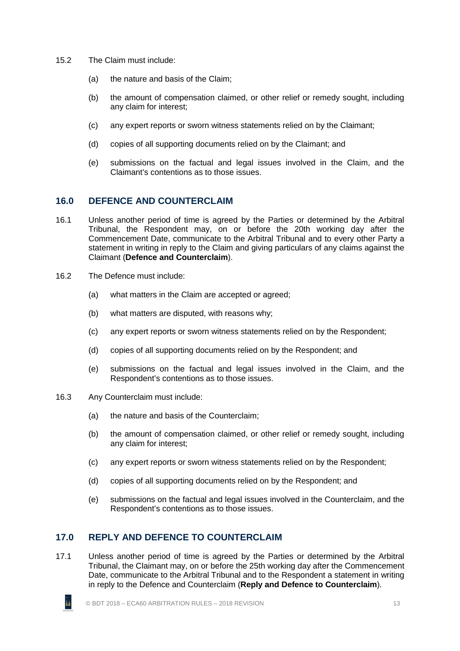- <span id="page-19-2"></span>15.2 The Claim must include:
	- (a) the nature and basis of the Claim;
	- (b) the amount of compensation claimed, or other relief or remedy sought, including any claim for interest;
	- (c) any expert reports or sworn witness statements relied on by the Claimant;
	- (d) copies of all supporting documents relied on by the Claimant; and
	- (e) submissions on the factual and legal issues involved in the Claim, and the Claimant's contentions as to those issues.

### <span id="page-19-0"></span>**16.0 DEFENCE AND COUNTERCLAIM**

- 16.1 Unless another period of time is agreed by the Parties or determined by the Arbitral Tribunal, the Respondent may, on or before the 20th working day after the Commencement Date, communicate to the Arbitral Tribunal and to every other Party a statement in writing in reply to the Claim and giving particulars of any claims against the Claimant (**Defence and Counterclaim**).
- <span id="page-19-3"></span>16.2 The Defence must include:
	- (a) what matters in the Claim are accepted or agreed;
	- (b) what matters are disputed, with reasons why;
	- (c) any expert reports or sworn witness statements relied on by the Respondent;
	- (d) copies of all supporting documents relied on by the Respondent; and
	- (e) submissions on the factual and legal issues involved in the Claim, and the Respondent's contentions as to those issues.
- <span id="page-19-4"></span>16.3 Any Counterclaim must include:
	- (a) the nature and basis of the Counterclaim;
	- (b) the amount of compensation claimed, or other relief or remedy sought, including any claim for interest;
	- (c) any expert reports or sworn witness statements relied on by the Respondent;
	- (d) copies of all supporting documents relied on by the Respondent; and
	- (e) submissions on the factual and legal issues involved in the Counterclaim, and the Respondent's contentions as to those issues.

# <span id="page-19-1"></span>**17.0 REPLY AND DEFENCE TO COUNTERCLAIM**

17.1 Unless another period of time is agreed by the Parties or determined by the Arbitral Tribunal, the Claimant may, on or before the 25th working day after the Commencement Date, communicate to the Arbitral Tribunal and to the Respondent a statement in writing in reply to the Defence and Counterclaim (**Reply and Defence to Counterclaim**).

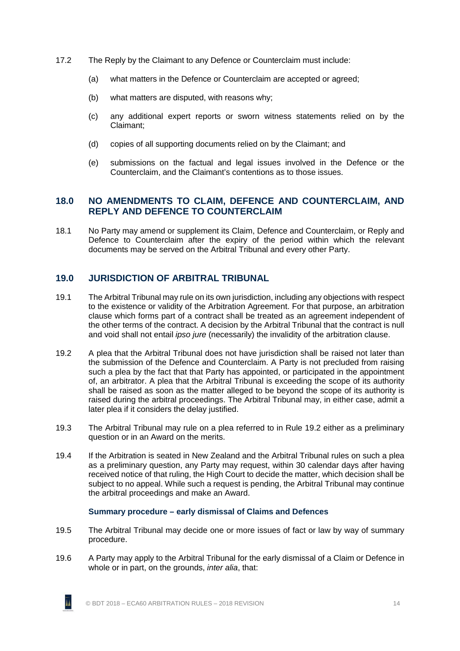- <span id="page-20-4"></span>17.2 The Reply by the Claimant to any Defence or Counterclaim must include:
	- (a) what matters in the Defence or Counterclaim are accepted or agreed;
	- (b) what matters are disputed, with reasons why;
	- (c) any additional expert reports or sworn witness statements relied on by the Claimant;
	- (d) copies of all supporting documents relied on by the Claimant; and
	- (e) submissions on the factual and legal issues involved in the Defence or the Counterclaim, and the Claimant's contentions as to those issues.

### <span id="page-20-0"></span>**18.0 NO AMENDMENTS TO CLAIM, DEFENCE AND COUNTERCLAIM, AND REPLY AND DEFENCE TO COUNTERCLAIM**

18.1 No Party may amend or supplement its Claim, Defence and Counterclaim, or Reply and Defence to Counterclaim after the expiry of the period within which the relevant documents may be served on the Arbitral Tribunal and every other Party.

# <span id="page-20-1"></span>**19.0 JURISDICTION OF ARBITRAL TRIBUNAL**

- 19.1 The Arbitral Tribunal may rule on its own jurisdiction, including any objections with respect to the existence or validity of the Arbitration Agreement. For that purpose, an arbitration clause which forms part of a contract shall be treated as an agreement independent of the other terms of the contract. A decision by the Arbitral Tribunal that the contract is null and void shall not entail *ipso jure* (necessarily) the invalidity of the arbitration clause.
- <span id="page-20-3"></span>19.2 A plea that the Arbitral Tribunal does not have jurisdiction shall be raised not later than the submission of the Defence and Counterclaim. A Party is not precluded from raising such a plea by the fact that that Party has appointed, or participated in the appointment of, an arbitrator. A plea that the Arbitral Tribunal is exceeding the scope of its authority shall be raised as soon as the matter alleged to be beyond the scope of its authority is raised during the arbitral proceedings. The Arbitral Tribunal may, in either case, admit a later plea if it considers the delay justified.
- 19.3 The Arbitral Tribunal may rule on a plea referred to in Rule [19.2](#page-20-3) either as a preliminary question or in an Award on the merits.
- 19.4 If the Arbitration is seated in New Zealand and the Arbitral Tribunal rules on such a plea as a preliminary question, any Party may request, within 30 calendar days after having received notice of that ruling, the High Court to decide the matter, which decision shall be subject to no appeal. While such a request is pending, the Arbitral Tribunal may continue the arbitral proceedings and make an Award.

#### **Summary procedure – early dismissal of Claims and Defences**

- <span id="page-20-5"></span><span id="page-20-2"></span>19.5 The Arbitral Tribunal may decide one or more issues of fact or law by way of summary procedure.
- 19.6 A Party may apply to the Arbitral Tribunal for the early dismissal of a Claim or Defence in whole or in part, on the grounds, *inter alia*, that:

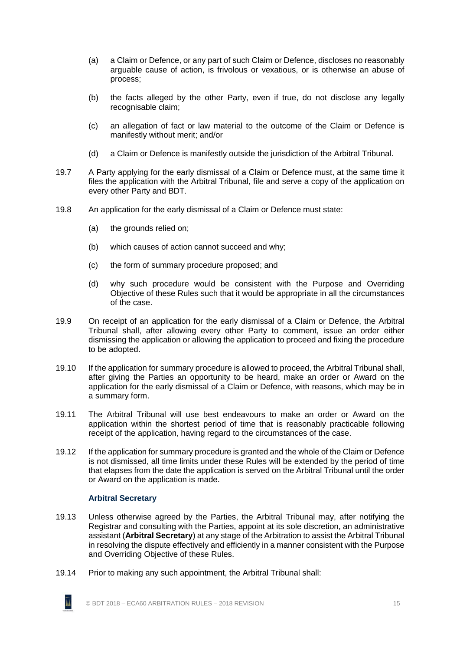- (a) a Claim or Defence, or any part of such Claim or Defence, discloses no reasonably arguable cause of action, is frivolous or vexatious, or is otherwise an abuse of process;
- (b) the facts alleged by the other Party, even if true, do not disclose any legally recognisable claim;
- (c) an allegation of fact or law material to the outcome of the Claim or Defence is manifestly without merit; and/or
- (d) a Claim or Defence is manifestly outside the jurisdiction of the Arbitral Tribunal.
- 19.7 A Party applying for the early dismissal of a Claim or Defence must, at the same time it files the application with the Arbitral Tribunal, file and serve a copy of the application on every other Party and BDT.
- 19.8 An application for the early dismissal of a Claim or Defence must state:
	- (a) the grounds relied on;
	- (b) which causes of action cannot succeed and why;
	- (c) the form of summary procedure proposed; and
	- (d) why such procedure would be consistent with the Purpose and Overriding Objective of these Rules such that it would be appropriate in all the circumstances of the case.
- 19.9 On receipt of an application for the early dismissal of a Claim or Defence, the Arbitral Tribunal shall, after allowing every other Party to comment, issue an order either dismissing the application or allowing the application to proceed and fixing the procedure to be adopted.
- 19.10 If the application for summary procedure is allowed to proceed, the Arbitral Tribunal shall, after giving the Parties an opportunity to be heard, make an order or Award on the application for the early dismissal of a Claim or Defence, with reasons, which may be in a summary form.
- 19.11 The Arbitral Tribunal will use best endeavours to make an order or Award on the application within the shortest period of time that is reasonably practicable following receipt of the application, having regard to the circumstances of the case.
- <span id="page-21-1"></span>19.12 If the application for summary procedure is granted and the whole of the Claim or Defence is not dismissed, all time limits under these Rules will be extended by the period of time that elapses from the date the application is served on the Arbitral Tribunal until the order or Award on the application is made.

#### **Arbitral Secretary**

- <span id="page-21-2"></span><span id="page-21-0"></span>19.13 Unless otherwise agreed by the Parties, the Arbitral Tribunal may, after notifying the Registrar and consulting with the Parties, appoint at its sole discretion, an administrative assistant (**Arbitral Secretary**) at any stage of the Arbitration to assist the Arbitral Tribunal in resolving the dispute effectively and efficiently in a manner consistent with the Purpose and Overriding Objective of these Rules.
- <span id="page-21-3"></span>19.14 Prior to making any such appointment, the Arbitral Tribunal shall:

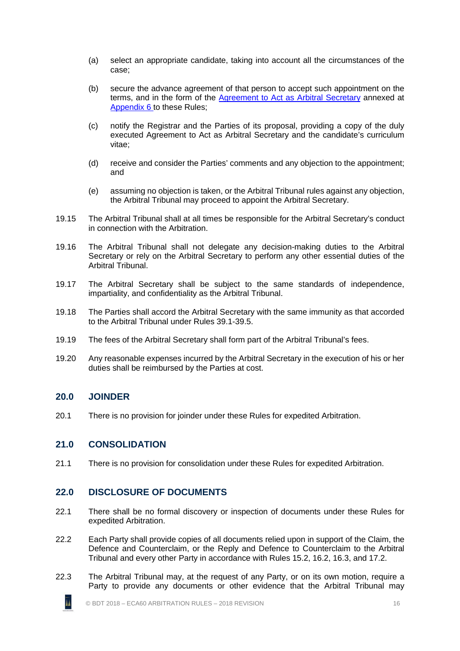- (a) select an appropriate candidate, taking into account all the circumstances of the case;
- (b) secure the advance agreement of that person to accept such appointment on the terms, and in the form of the [Agreement to Act as Arbitral Secretary](http://buildingdisputestribunal.co.nz/Arbitration/Arbitration+Guides+and+Resources.html) annexed at [Appendix 6](#page-58-0) to these Rules;
- (c) notify the Registrar and the Parties of its proposal, providing a copy of the duly executed Agreement to Act as Arbitral Secretary and the candidate's curriculum vitae;
- (d) receive and consider the Parties' comments and any objection to the appointment; and
- (e) assuming no objection is taken, or the Arbitral Tribunal rules against any objection, the Arbitral Tribunal may proceed to appoint the Arbitral Secretary.
- 19.15 The Arbitral Tribunal shall at all times be responsible for the Arbitral Secretary's conduct in connection with the Arbitration.
- 19.16 The Arbitral Tribunal shall not delegate any decision-making duties to the Arbitral Secretary or rely on the Arbitral Secretary to perform any other essential duties of the Arbitral Tribunal.
- 19.17 The Arbitral Secretary shall be subject to the same standards of independence, impartiality, and confidentiality as the Arbitral Tribunal.
- 19.18 The Parties shall accord the Arbitral Secretary with the same immunity as that accorded to the Arbitral Tribunal under Rules [39.1](#page-37-1)[-39.5.](#page-37-2)
- 19.19 The fees of the Arbitral Secretary shall form part of the Arbitral Tribunal's fees.
- <span id="page-22-0"></span>19.20 Any reasonable expenses incurred by the Arbitral Secretary in the execution of his or her duties shall be reimbursed by the Parties at cost.

#### **20.0 JOINDER**

īī

<span id="page-22-1"></span>20.1 There is no provision for joinder under these Rules for expedited Arbitration.

#### **21.0 CONSOLIDATION**

<span id="page-22-2"></span>21.1 There is no provision for consolidation under these Rules for expedited Arbitration.

#### **22.0 DISCLOSURE OF DOCUMENTS**

- <span id="page-22-3"></span>22.1 There shall be no formal discovery or inspection of documents under these Rules for expedited Arbitration.
- 22.2 Each Party shall provide copies of all documents relied upon in support of the Claim, the Defence and Counterclaim, or the Reply and Defence to Counterclaim to the Arbitral Tribunal and every other Party in accordance with Rules [15.2,](#page-19-2) [16.2,](#page-19-3) [16.3,](#page-19-4) and [17.2.](#page-20-4)
- <span id="page-22-4"></span>22.3 The Arbitral Tribunal may, at the request of any Party, or on its own motion, require a Party to provide any documents or other evidence that the Arbitral Tribunal may

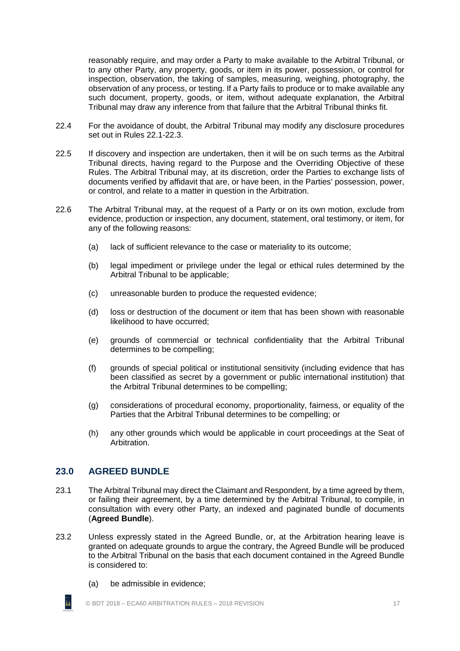reasonably require, and may order a Party to make available to the Arbitral Tribunal, or to any other Party, any property, goods, or item in its power, possession, or control for inspection, observation, the taking of samples, measuring, weighing, photography, the observation of any process, or testing. If a Party fails to produce or to make available any such document, property, goods, or item, without adequate explanation, the Arbitral Tribunal may draw any inference from that failure that the Arbitral Tribunal thinks fit.

- 22.4 For the avoidance of doubt, the Arbitral Tribunal may modify any disclosure procedures set out in Rules [22.1-](#page-22-3)[22.3.](#page-22-4)
- 22.5 If discovery and inspection are undertaken, then it will be on such terms as the Arbitral Tribunal directs, having regard to the Purpose and the Overriding Objective of these Rules. The Arbitral Tribunal may, at its discretion, order the Parties to exchange lists of documents verified by affidavit that are, or have been, in the Parties' possession, power, or control, and relate to a matter in question in the Arbitration.
- 22.6 The Arbitral Tribunal may, at the request of a Party or on its own motion, exclude from evidence, production or inspection, any document, statement, oral testimony, or item, for any of the following reasons:
	- (a) lack of sufficient relevance to the case or materiality to its outcome;
	- (b) legal impediment or privilege under the legal or ethical rules determined by the Arbitral Tribunal to be applicable;
	- (c) unreasonable burden to produce the requested evidence;
	- (d) loss or destruction of the document or item that has been shown with reasonable likelihood to have occurred;
	- (e) grounds of commercial or technical confidentiality that the Arbitral Tribunal determines to be compelling;
	- (f) grounds of special political or institutional sensitivity (including evidence that has been classified as secret by a government or public international institution) that the Arbitral Tribunal determines to be compelling;
	- (g) considerations of procedural economy, proportionality, fairness, or equality of the Parties that the Arbitral Tribunal determines to be compelling; or
	- (h) any other grounds which would be applicable in court proceedings at the Seat of Arbitration.

# <span id="page-23-0"></span>**23.0 AGREED BUNDLE**

īı

- 23.1 The Arbitral Tribunal may direct the Claimant and Respondent, by a time agreed by them, or failing their agreement, by a time determined by the Arbitral Tribunal, to compile, in consultation with every other Party, an indexed and paginated bundle of documents (**Agreed Bundle**).
- 23.2 Unless expressly stated in the Agreed Bundle, or, at the Arbitration hearing leave is granted on adequate grounds to argue the contrary, the Agreed Bundle will be produced to the Arbitral Tribunal on the basis that each document contained in the Agreed Bundle is considered to:
	- (a) be admissible in evidence;

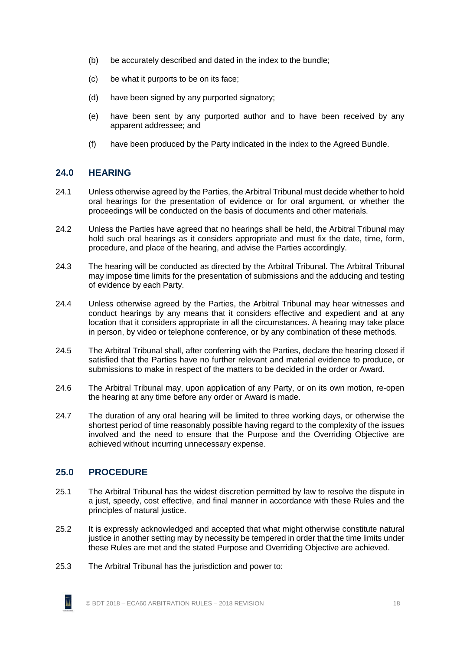- (b) be accurately described and dated in the index to the bundle;
- (c) be what it purports to be on its face;
- (d) have been signed by any purported signatory;
- (e) have been sent by any purported author and to have been received by any apparent addressee; and
- (f) have been produced by the Party indicated in the index to the Agreed Bundle.

# <span id="page-24-0"></span>**24.0 HEARING**

- 24.1 Unless otherwise agreed by the Parties, the Arbitral Tribunal must decide whether to hold oral hearings for the presentation of evidence or for oral argument, or whether the proceedings will be conducted on the basis of documents and other materials.
- 24.2 Unless the Parties have agreed that no hearings shall be held, the Arbitral Tribunal may hold such oral hearings as it considers appropriate and must fix the date, time, form, procedure, and place of the hearing, and advise the Parties accordingly.
- 24.3 The hearing will be conducted as directed by the Arbitral Tribunal. The Arbitral Tribunal may impose time limits for the presentation of submissions and the adducing and testing of evidence by each Party.
- 24.4 Unless otherwise agreed by the Parties, the Arbitral Tribunal may hear witnesses and conduct hearings by any means that it considers effective and expedient and at any location that it considers appropriate in all the circumstances. A hearing may take place in person, by video or telephone conference, or by any combination of these methods.
- 24.5 The Arbitral Tribunal shall, after conferring with the Parties, declare the hearing closed if satisfied that the Parties have no further relevant and material evidence to produce, or submissions to make in respect of the matters to be decided in the order or Award.
- 24.6 The Arbitral Tribunal may, upon application of any Party, or on its own motion, re-open the hearing at any time before any order or Award is made.
- 24.7 The duration of any oral hearing will be limited to three working days, or otherwise the shortest period of time reasonably possible having regard to the complexity of the issues involved and the need to ensure that the Purpose and the Overriding Objective are achieved without incurring unnecessary expense.

# <span id="page-24-1"></span>**25.0 PROCEDURE**

- 25.1 The Arbitral Tribunal has the widest discretion permitted by law to resolve the dispute in a just, speedy, cost effective, and final manner in accordance with these Rules and the principles of natural justice.
- 25.2 It is expressly acknowledged and accepted that what might otherwise constitute natural justice in another setting may by necessity be tempered in order that the time limits under these Rules are met and the stated Purpose and Overriding Objective are achieved.
- 25.3 The Arbitral Tribunal has the jurisdiction and power to:

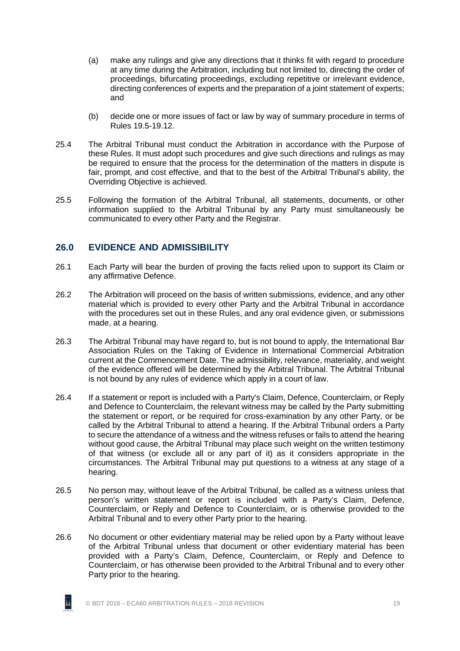- (a) make any rulings and give any directions that it thinks fit with regard to procedure at any time during the Arbitration, including but not limited to, directing the order of proceedings, bifurcating proceedings, excluding repetitive or irrelevant evidence, directing conferences of experts and the preparation of a joint statement of experts; and
- (b) decide one or more issues of fact or law by way of summary procedure in terms of Rules [19.5](#page-20-5)[-19.12.](#page-21-1)
- 25.4 The Arbitral Tribunal must conduct the Arbitration in accordance with the Purpose of these Rules. It must adopt such procedures and give such directions and rulings as may be required to ensure that the process for the determination of the matters in dispute is fair, prompt, and cost effective, and that to the best of the Arbitral Tribunal's ability, the Overriding Objective is achieved.
- 25.5 Following the formation of the Arbitral Tribunal, all statements, documents, or other information supplied to the Arbitral Tribunal by any Party must simultaneously be communicated to every other Party and the Registrar.

#### <span id="page-25-0"></span>**26.0 EVIDENCE AND ADMISSIBILITY**

- 26.1 Each Party will bear the burden of proving the facts relied upon to support its Claim or any affirmative Defence.
- 26.2 The Arbitration will proceed on the basis of written submissions, evidence, and any other material which is provided to every other Party and the Arbitral Tribunal in accordance with the procedures set out in these Rules, and any oral evidence given, or submissions made, at a hearing.
- 26.3 The Arbitral Tribunal may have regard to, but is not bound to apply, the International Bar Association Rules on the Taking of Evidence in International Commercial Arbitration current at the Commencement Date. The admissibility, relevance, materiality, and weight of the evidence offered will be determined by the Arbitral Tribunal. The Arbitral Tribunal is not bound by any rules of evidence which apply in a court of law.
- 26.4 If a statement or report is included with a Party's Claim, Defence, Counterclaim, or Reply and Defence to Counterclaim, the relevant witness may be called by the Party submitting the statement or report, or be required for cross-examination by any other Party, or be called by the Arbitral Tribunal to attend a hearing. If the Arbitral Tribunal orders a Party to secure the attendance of a witness and the witness refuses or fails to attend the hearing without good cause, the Arbitral Tribunal may place such weight on the written testimony of that witness (or exclude all or any part of it) as it considers appropriate in the circumstances. The Arbitral Tribunal may put questions to a witness at any stage of a hearing.
- 26.5 No person may, without leave of the Arbitral Tribunal, be called as a witness unless that person's written statement or report is included with a Party's Claim, Defence, Counterclaim, or Reply and Defence to Counterclaim, or is otherwise provided to the Arbitral Tribunal and to every other Party prior to the hearing.
- 26.6 No document or other evidentiary material may be relied upon by a Party without leave of the Arbitral Tribunal unless that document or other evidentiary material has been provided with a Party's Claim, Defence, Counterclaim, or Reply and Defence to Counterclaim, or has otherwise been provided to the Arbitral Tribunal and to every other Party prior to the hearing.

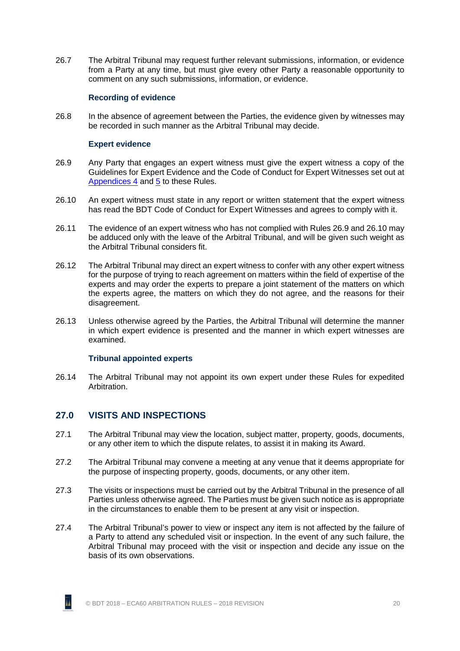<span id="page-26-0"></span>26.7 The Arbitral Tribunal may request further relevant submissions, information, or evidence from a Party at any time, but must give every other Party a reasonable opportunity to comment on any such submissions, information, or evidence.

#### **Recording of evidence**

<span id="page-26-1"></span>26.8 In the absence of agreement between the Parties, the evidence given by witnesses may be recorded in such manner as the Arbitral Tribunal may decide.

#### **Expert evidence**

- <span id="page-26-4"></span>26.9 Any Party that engages an expert witness must give the expert witness a copy of the Guidelines for Expert Evidence and the Code of Conduct for Expert Witnesses set out at [Appendices 4](#page-53-0) and [5](#page-56-0) to these Rules.
- <span id="page-26-5"></span>26.10 An expert witness must state in any report or written statement that the expert witness has read the BDT Code of Conduct for Expert Witnesses and agrees to comply with it.
- 26.11 The evidence of an expert witness who has not complied with Rules [26.9](#page-26-4) and [26.10](#page-26-5) may be adduced only with the leave of the Arbitral Tribunal, and will be given such weight as the Arbitral Tribunal considers fit.
- 26.12 The Arbitral Tribunal may direct an expert witness to confer with any other expert witness for the purpose of trying to reach agreement on matters within the field of expertise of the experts and may order the experts to prepare a joint statement of the matters on which the experts agree, the matters on which they do not agree, and the reasons for their disagreement.
- <span id="page-26-2"></span>26.13 Unless otherwise agreed by the Parties, the Arbitral Tribunal will determine the manner in which expert evidence is presented and the manner in which expert witnesses are examined.

#### **Tribunal appointed experts**

<span id="page-26-3"></span>26.14 The Arbitral Tribunal may not appoint its own expert under these Rules for expedited Arbitration.

#### **27.0 VISITS AND INSPECTIONS**

- 27.1 The Arbitral Tribunal may view the location, subject matter, property, goods, documents, or any other item to which the dispute relates, to assist it in making its Award.
- 27.2 The Arbitral Tribunal may convene a meeting at any venue that it deems appropriate for the purpose of inspecting property, goods, documents, or any other item.
- 27.3 The visits or inspections must be carried out by the Arbitral Tribunal in the presence of all Parties unless otherwise agreed. The Parties must be given such notice as is appropriate in the circumstances to enable them to be present at any visit or inspection.
- 27.4 The Arbitral Tribunal's power to view or inspect any item is not affected by the failure of a Party to attend any scheduled visit or inspection. In the event of any such failure, the Arbitral Tribunal may proceed with the visit or inspection and decide any issue on the basis of its own observations.

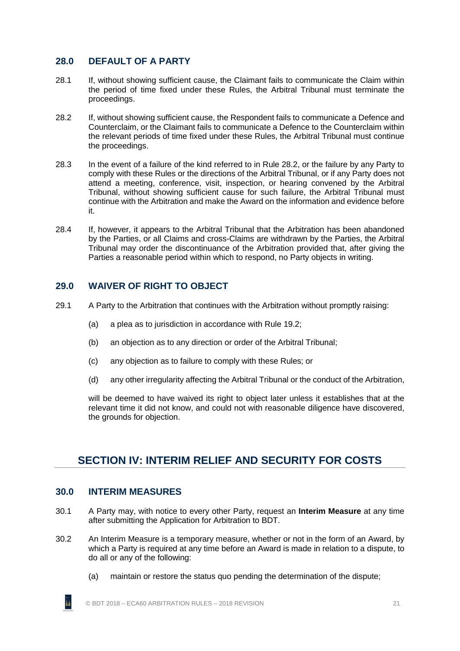# <span id="page-27-0"></span>**28.0 DEFAULT OF A PARTY**

- 28.1 If, without showing sufficient cause, the Claimant fails to communicate the Claim within the period of time fixed under these Rules, the Arbitral Tribunal must terminate the proceedings.
- <span id="page-27-5"></span>28.2 If, without showing sufficient cause, the Respondent fails to communicate a Defence and Counterclaim, or the Claimant fails to communicate a Defence to the Counterclaim within the relevant periods of time fixed under these Rules, the Arbitral Tribunal must continue the proceedings.
- 28.3 In the event of a failure of the kind referred to in Rule [28.2,](#page-27-5) or the failure by any Party to comply with these Rules or the directions of the Arbitral Tribunal, or if any Party does not attend a meeting, conference, visit, inspection, or hearing convened by the Arbitral Tribunal, without showing sufficient cause for such failure, the Arbitral Tribunal must continue with the Arbitration and make the Award on the information and evidence before it.
- 28.4 If, however, it appears to the Arbitral Tribunal that the Arbitration has been abandoned by the Parties, or all Claims and cross-Claims are withdrawn by the Parties, the Arbitral Tribunal may order the discontinuance of the Arbitration provided that, after giving the Parties a reasonable period within which to respond, no Party objects in writing.

# <span id="page-27-1"></span>**29.0 WAIVER OF RIGHT TO OBJECT**

- 29.1 A Party to the Arbitration that continues with the Arbitration without promptly raising:
	- (a) a plea as to jurisdiction in accordance with Rule [19.2;](#page-20-3)
	- (b) an objection as to any direction or order of the Arbitral Tribunal;
	- (c) any objection as to failure to comply with these Rules; or
	- (d) any other irregularity affecting the Arbitral Tribunal or the conduct of the Arbitration,

will be deemed to have waived its right to object later unless it establishes that at the relevant time it did not know, and could not with reasonable diligence have discovered, the grounds for objection.

# <span id="page-27-2"></span>**SECTION IV: INTERIM RELIEF AND SECURITY FOR COSTS**

#### <span id="page-27-3"></span>**30.0 INTERIM MEASURES**

- 30.1 A Party may, with notice to every other Party, request an **Interim Measure** at any time after submitting the Application for Arbitration to BDT.
- <span id="page-27-4"></span>30.2 An Interim Measure is a temporary measure, whether or not in the form of an Award, by which a Party is required at any time before an Award is made in relation to a dispute, to do all or any of the following:
	- (a) maintain or restore the status quo pending the determination of the dispute;

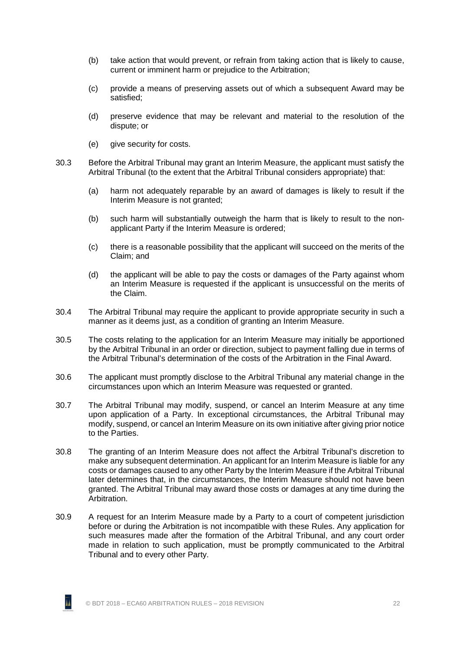- (b) take action that would prevent, or refrain from taking action that is likely to cause, current or imminent harm or prejudice to the Arbitration;
- (c) provide a means of preserving assets out of which a subsequent Award may be satisfied;
- (d) preserve evidence that may be relevant and material to the resolution of the dispute; or
- (e) give security for costs.
- <span id="page-28-0"></span>30.3 Before the Arbitral Tribunal may grant an Interim Measure, the applicant must satisfy the Arbitral Tribunal (to the extent that the Arbitral Tribunal considers appropriate) that:
	- (a) harm not adequately reparable by an award of damages is likely to result if the Interim Measure is not granted:
	- (b) such harm will substantially outweigh the harm that is likely to result to the nonapplicant Party if the Interim Measure is ordered;
	- (c) there is a reasonable possibility that the applicant will succeed on the merits of the Claim; and
	- (d) the applicant will be able to pay the costs or damages of the Party against whom an Interim Measure is requested if the applicant is unsuccessful on the merits of the Claim.
- <span id="page-28-1"></span>30.4 The Arbitral Tribunal may require the applicant to provide appropriate security in such a manner as it deems just, as a condition of granting an Interim Measure.
- <span id="page-28-2"></span>30.5 The costs relating to the application for an Interim Measure may initially be apportioned by the Arbitral Tribunal in an order or direction, subject to payment falling due in terms of the Arbitral Tribunal's determination of the costs of the Arbitration in the Final Award.
- 30.6 The applicant must promptly disclose to the Arbitral Tribunal any material change in the circumstances upon which an Interim Measure was requested or granted.
- 30.7 The Arbitral Tribunal may modify, suspend, or cancel an Interim Measure at any time upon application of a Party. In exceptional circumstances, the Arbitral Tribunal may modify, suspend, or cancel an Interim Measure on its own initiative after giving prior notice to the Parties.
- 30.8 The granting of an Interim Measure does not affect the Arbitral Tribunal's discretion to make any subsequent determination. An applicant for an Interim Measure is liable for any costs or damages caused to any other Party by the Interim Measure if the Arbitral Tribunal later determines that, in the circumstances, the Interim Measure should not have been granted. The Arbitral Tribunal may award those costs or damages at any time during the Arbitration.
- 30.9 A request for an Interim Measure made by a Party to a court of competent jurisdiction before or during the Arbitration is not incompatible with these Rules. Any application for such measures made after the formation of the Arbitral Tribunal, and any court order made in relation to such application, must be promptly communicated to the Arbitral Tribunal and to every other Party.

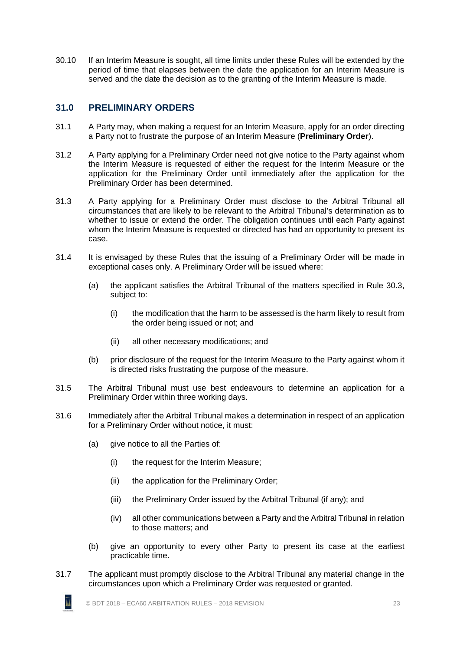30.10 If an Interim Measure is sought, all time limits under these Rules will be extended by the period of time that elapses between the date the application for an Interim Measure is served and the date the decision as to the granting of the Interim Measure is made.

# <span id="page-29-0"></span>**31.0 PRELIMINARY ORDERS**

- 31.1 A Party may, when making a request for an Interim Measure, apply for an order directing a Party not to frustrate the purpose of an Interim Measure (**Preliminary Order**).
- 31.2 A Party applying for a Preliminary Order need not give notice to the Party against whom the Interim Measure is requested of either the request for the Interim Measure or the application for the Preliminary Order until immediately after the application for the Preliminary Order has been determined.
- 31.3 A Party applying for a Preliminary Order must disclose to the Arbitral Tribunal all circumstances that are likely to be relevant to the Arbitral Tribunal's determination as to whether to issue or extend the order. The obligation continues until each Party against whom the Interim Measure is requested or directed has had an opportunity to present its case.
- <span id="page-29-1"></span>31.4 It is envisaged by these Rules that the issuing of a Preliminary Order will be made in exceptional cases only. A Preliminary Order will be issued where:
	- (a) the applicant satisfies the Arbitral Tribunal of the matters specified in Rule [30.3,](#page-28-0) subject to:
		- (i) the modification that the harm to be assessed is the harm likely to result from the order being issued or not; and
		- (ii) all other necessary modifications; and
	- (b) prior disclosure of the request for the Interim Measure to the Party against whom it is directed risks frustrating the purpose of the measure.
- 31.5 The Arbitral Tribunal must use best endeavours to determine an application for a Preliminary Order within three working days.
- <span id="page-29-2"></span>31.6 Immediately after the Arbitral Tribunal makes a determination in respect of an application for a Preliminary Order without notice, it must:
	- (a) give notice to all the Parties of:
		- (i) the request for the Interim Measure;
		- (ii) the application for the Preliminary Order;
		- (iii) the Preliminary Order issued by the Arbitral Tribunal (if any); and
		- (iv) all other communications between a Party and the Arbitral Tribunal in relation to those matters; and
	- (b) give an opportunity to every other Party to present its case at the earliest practicable time.
- 31.7 The applicant must promptly disclose to the Arbitral Tribunal any material change in the circumstances upon which a Preliminary Order was requested or granted.



īı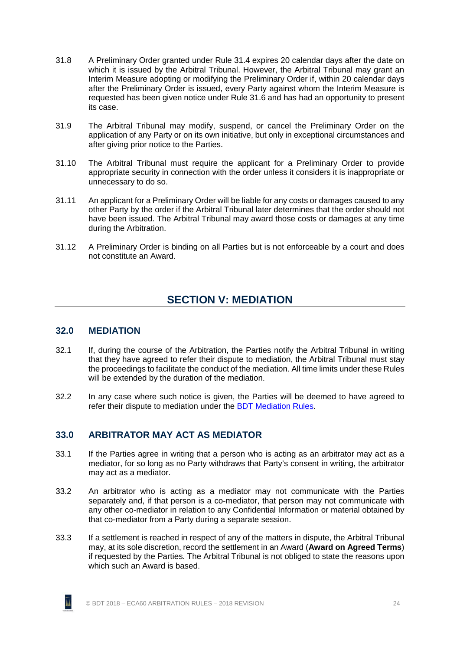- 31.8 A Preliminary Order granted under Rule [31.4](#page-29-1) expires 20 calendar days after the date on which it is issued by the Arbitral Tribunal. However, the Arbitral Tribunal may grant an Interim Measure adopting or modifying the Preliminary Order if, within 20 calendar days after the Preliminary Order is issued, every Party against whom the Interim Measure is requested has been given notice under Rule [31.6](#page-29-2) and has had an opportunity to present its case.
- 31.9 The Arbitral Tribunal may modify, suspend, or cancel the Preliminary Order on the application of any Party or on its own initiative, but only in exceptional circumstances and after giving prior notice to the Parties.
- 31.10 The Arbitral Tribunal must require the applicant for a Preliminary Order to provide appropriate security in connection with the order unless it considers it is inappropriate or unnecessary to do so.
- 31.11 An applicant for a Preliminary Order will be liable for any costs or damages caused to any other Party by the order if the Arbitral Tribunal later determines that the order should not have been issued. The Arbitral Tribunal may award those costs or damages at any time during the Arbitration.
- <span id="page-30-0"></span>31.12 A Preliminary Order is binding on all Parties but is not enforceable by a court and does not constitute an Award.

# **SECTION V: MEDIATION**

#### <span id="page-30-1"></span>**32.0 MEDIATION**

- 32.1 If, during the course of the Arbitration, the Parties notify the Arbitral Tribunal in writing that they have agreed to refer their dispute to mediation, the Arbitral Tribunal must stay the proceedings to facilitate the conduct of the mediation. All time limits under these Rules will be extended by the duration of the mediation.
- <span id="page-30-2"></span>32.2 In any case where such notice is given, the Parties will be deemed to have agreed to refer their dispute to mediation under the BDT [Mediation Rules.](http://buildingdisputestribunal.co.nz/Mediation/Mediation+Rules.html)

# **33.0 ARBITRATOR MAY ACT AS MEDIATOR**

- 33.1 If the Parties agree in writing that a person who is acting as an arbitrator may act as a mediator, for so long as no Party withdraws that Party's consent in writing, the arbitrator may act as a mediator.
- 33.2 An arbitrator who is acting as a mediator may not communicate with the Parties separately and, if that person is a co-mediator, that person may not communicate with any other co-mediator in relation to any Confidential Information or material obtained by that co-mediator from a Party during a separate session.
- 33.3 If a settlement is reached in respect of any of the matters in dispute, the Arbitral Tribunal may, at its sole discretion, record the settlement in an Award (**Award on Agreed Terms**) if requested by the Parties. The Arbitral Tribunal is not obliged to state the reasons upon which such an Award is based.

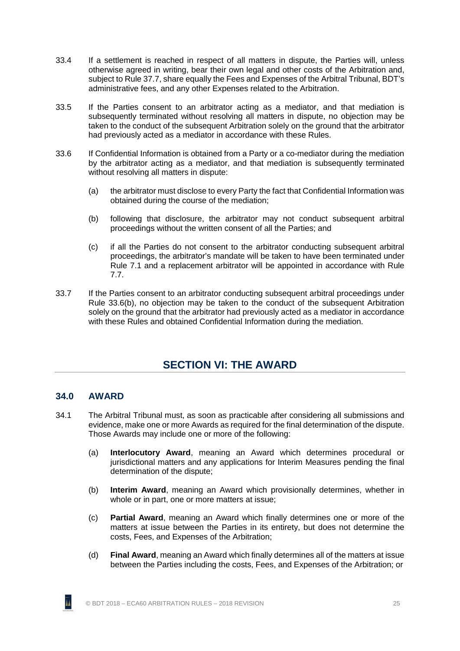- <span id="page-31-3"></span>33.4 If a settlement is reached in respect of all matters in dispute, the Parties will, unless otherwise agreed in writing, bear their own legal and other costs of the Arbitration and, subject to Rule [37.7,](#page-35-3) share equally the Fees and Expenses of the Arbitral Tribunal, BDT's administrative fees, and any other Expenses related to the Arbitration.
- 33.5 If the Parties consent to an arbitrator acting as a mediator, and that mediation is subsequently terminated without resolving all matters in dispute, no objection may be taken to the conduct of the subsequent Arbitration solely on the ground that the arbitrator had previously acted as a mediator in accordance with these Rules.
- <span id="page-31-2"></span>33.6 If Confidential Information is obtained from a Party or a co-mediator during the mediation by the arbitrator acting as a mediator, and that mediation is subsequently terminated without resolving all matters in dispute:
	- (a) the arbitrator must disclose to every Party the fact that Confidential Information was obtained during the course of the mediation;
	- (b) following that disclosure, the arbitrator may not conduct subsequent arbitral proceedings without the written consent of all the Parties; and
	- (c) if all the Parties do not consent to the arbitrator conducting subsequent arbitral proceedings, the arbitrator's mandate will be taken to have been terminated under Rule [7.1](#page-14-3) and a replacement arbitrator will be appointed in accordance with Rule [7.7.](#page-15-0)
- <span id="page-31-0"></span>33.7 If the Parties consent to an arbitrator conducting subsequent arbitral proceedings under Rule [33.6\(b\),](#page-31-2) no objection may be taken to the conduct of the subsequent Arbitration solely on the ground that the arbitrator had previously acted as a mediator in accordance with these Rules and obtained Confidential Information during the mediation.

# **SECTION VI: THE AWARD**

#### <span id="page-31-1"></span>**34.0 AWARD**

- 34.1 The Arbitral Tribunal must, as soon as practicable after considering all submissions and evidence, make one or more Awards as required for the final determination of the dispute. Those Awards may include one or more of the following:
	- (a) **Interlocutory Award**, meaning an Award which determines procedural or jurisdictional matters and any applications for Interim Measures pending the final determination of the dispute;
	- (b) **Interim Award**, meaning an Award which provisionally determines, whether in whole or in part, one or more matters at issue;
	- (c) **Partial Award**, meaning an Award which finally determines one or more of the matters at issue between the Parties in its entirety, but does not determine the costs, Fees, and Expenses of the Arbitration;
	- (d) **Final Award**, meaning an Award which finally determines all of the matters at issue between the Parties including the costs, Fees, and Expenses of the Arbitration; or

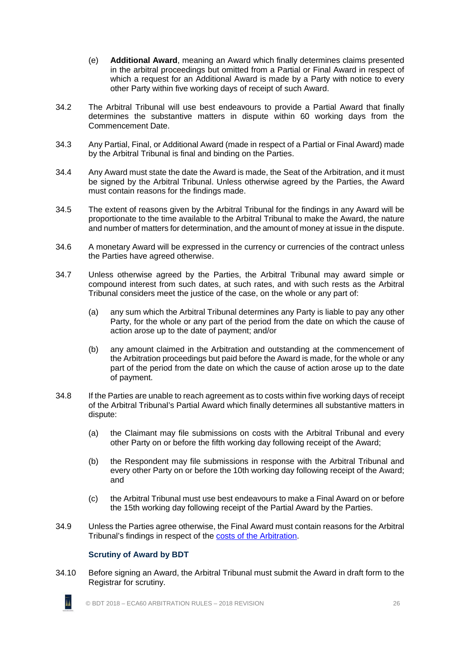- (e) **Additional Award**, meaning an Award which finally determines claims presented in the arbitral proceedings but omitted from a Partial or Final Award in respect of which a request for an Additional Award is made by a Party with notice to every other Party within five working days of receipt of such Award.
- 34.2 The Arbitral Tribunal will use best endeavours to provide a Partial Award that finally determines the substantive matters in dispute within 60 working days from the Commencement Date.
- 34.3 Any Partial, Final, or Additional Award (made in respect of a Partial or Final Award) made by the Arbitral Tribunal is final and binding on the Parties.
- 34.4 Any Award must state the date the Award is made, the Seat of the Arbitration, and it must be signed by the Arbitral Tribunal. Unless otherwise agreed by the Parties, the Award must contain reasons for the findings made.
- 34.5 The extent of reasons given by the Arbitral Tribunal for the findings in any Award will be proportionate to the time available to the Arbitral Tribunal to make the Award, the nature and number of matters for determination, and the amount of money at issue in the dispute.
- 34.6 A monetary Award will be expressed in the currency or currencies of the contract unless the Parties have agreed otherwise.
- 34.7 Unless otherwise agreed by the Parties, the Arbitral Tribunal may award simple or compound interest from such dates, at such rates, and with such rests as the Arbitral Tribunal considers meet the justice of the case, on the whole or any part of:
	- (a) any sum which the Arbitral Tribunal determines any Party is liable to pay any other Party, for the whole or any part of the period from the date on which the cause of action arose up to the date of payment; and/or
	- (b) any amount claimed in the Arbitration and outstanding at the commencement of the Arbitration proceedings but paid before the Award is made, for the whole or any part of the period from the date on which the cause of action arose up to the date of payment.
- 34.8 If the Parties are unable to reach agreement as to costs within five working days of receipt of the Arbitral Tribunal's Partial Award which finally determines all substantive matters in dispute:
	- (a) the Claimant may file submissions on costs with the Arbitral Tribunal and every other Party on or before the fifth working day following receipt of the Award;
	- (b) the Respondent may file submissions in response with the Arbitral Tribunal and every other Party on or before the 10th working day following receipt of the Award; and
	- (c) the Arbitral Tribunal must use best endeavours to make a Final Award on or before the 15th working day following receipt of the Partial Award by the Parties.
- <span id="page-32-0"></span>34.9 Unless the Parties agree otherwise, the Final Award must contain reasons for the Arbitral Tribunal's findings in respect of the [costs of the Arbitration.](#page-34-2)

#### **Scrutiny of Award by BDT**

īı

34.10 Before signing an Award, the Arbitral Tribunal must submit the Award in draft form to the Registrar for scrutiny.

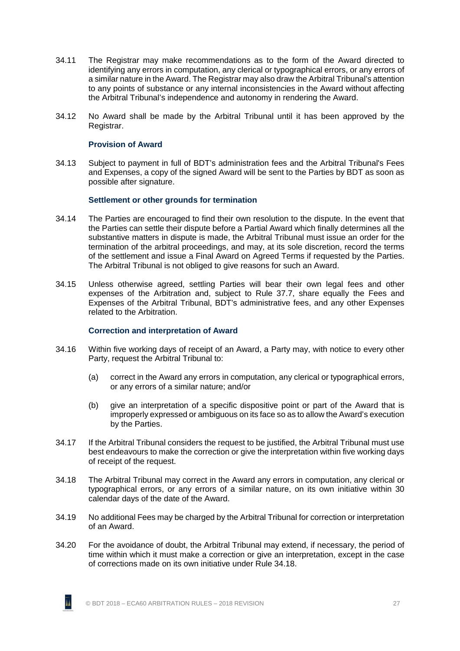- 34.11 The Registrar may make recommendations as to the form of the Award directed to identifying any errors in computation, any clerical or typographical errors, or any errors of a similar nature in the Award. The Registrar may also draw the Arbitral Tribunal's attention to any points of substance or any internal inconsistencies in the Award without affecting the Arbitral Tribunal's independence and autonomy in rendering the Award.
- <span id="page-33-0"></span>34.12 No Award shall be made by the Arbitral Tribunal until it has been approved by the Registrar.

#### **Provision of Award**

<span id="page-33-1"></span>34.13 Subject to payment in full of BDT's administration fees and the Arbitral Tribunal's Fees and Expenses, a copy of the signed Award will be sent to the Parties by BDT as soon as possible after signature.

#### **Settlement or other grounds for termination**

- <span id="page-33-4"></span>34.14 The Parties are encouraged to find their own resolution to the dispute. In the event that the Parties can settle their dispute before a Partial Award which finally determines all the substantive matters in dispute is made, the Arbitral Tribunal must issue an order for the termination of the arbitral proceedings, and may, at its sole discretion, record the terms of the settlement and issue a Final Award on Agreed Terms if requested by the Parties. The Arbitral Tribunal is not obliged to give reasons for such an Award.
- 34.15 Unless otherwise agreed, settling Parties will bear their own legal fees and other expenses of the Arbitration and, subject to Rule [37.7,](#page-35-3) share equally the Fees and Expenses of the Arbitral Tribunal, BDT's administrative fees, and any other Expenses related to the Arbitration.

#### **Correction and interpretation of Award**

- <span id="page-33-2"></span>34.16 Within five working days of receipt of an Award, a Party may, with notice to every other Party, request the Arbitral Tribunal to:
	- (a) correct in the Award any errors in computation, any clerical or typographical errors, or any errors of a similar nature; and/or
	- (b) give an interpretation of a specific dispositive point or part of the Award that is improperly expressed or ambiguous on its face so as to allow the Award's execution by the Parties.
- 34.17 If the Arbitral Tribunal considers the request to be justified, the Arbitral Tribunal must use best endeavours to make the correction or give the interpretation within five working days of receipt of the request.
- <span id="page-33-3"></span>34.18 The Arbitral Tribunal may correct in the Award any errors in computation, any clerical or typographical errors, or any errors of a similar nature, on its own initiative within 30 calendar days of the date of the Award.
- 34.19 No additional Fees may be charged by the Arbitral Tribunal for correction or interpretation of an Award.
- 34.20 For the avoidance of doubt, the Arbitral Tribunal may extend, if necessary, the period of time within which it must make a correction or give an interpretation, except in the case of corrections made on its own initiative under Rule [34.18.](#page-33-3)

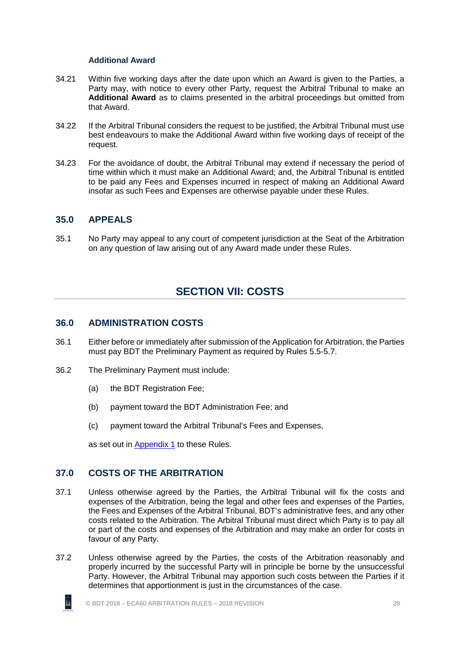#### **Additional Award**

- <span id="page-34-0"></span>34.21 Within five working days after the date upon which an Award is given to the Parties, a Party may, with notice to every other Party, request the Arbitral Tribunal to make an **Additional Award** as to claims presented in the arbitral proceedings but omitted from that Award.
- 34.22 If the Arbitral Tribunal considers the request to be justified, the Arbitral Tribunal must use best endeavours to make the Additional Award within five working days of receipt of the request.
- 34.23 For the avoidance of doubt, the Arbitral Tribunal may extend if necessary the period of time within which it must make an Additional Award; and, the Arbitral Tribunal is entitled to be paid any Fees and Expenses incurred in respect of making an Additional Award insofar as such Fees and Expenses are otherwise payable under these Rules.

### <span id="page-34-1"></span>**35.0 APPEALS**

<span id="page-34-2"></span>35.1 No Party may appeal to any court of competent jurisdiction at the Seat of the Arbitration on any question of law arising out of any Award made under these Rules.

# **SECTION VII: COSTS**

#### <span id="page-34-3"></span>**36.0 ADMINISTRATION COSTS**

- 36.1 Either before or immediately after submission of the Application for Arbitration, the Parties must pay BDT the Preliminary Payment as required by Rules [5.5](#page-11-1)[-5.7.](#page-11-2)
- 36.2 The Preliminary Payment must include:
	- (a) the BDT Registration Fee;
	- (b) payment toward the BDT Administration Fee; and
	- (c) payment toward the Arbitral Tribunal's Fees and Expenses,

as set out in [Appendix 1](#page-40-0) to these Rules.

#### <span id="page-34-4"></span>**37.0 COSTS OF THE ARBITRATION**

- <span id="page-34-5"></span>37.1 Unless otherwise agreed by the Parties, the Arbitral Tribunal will fix the costs and expenses of the Arbitration, being the legal and other fees and expenses of the Parties, the Fees and Expenses of the Arbitral Tribunal, BDT's administrative fees, and any other costs related to the Arbitration. The Arbitral Tribunal must direct which Party is to pay all or part of the costs and expenses of the Arbitration and may make an order for costs in favour of any Party.
- 37.2 Unless otherwise agreed by the Parties, the costs of the Arbitration reasonably and properly incurred by the successful Party will in principle be borne by the unsuccessful Party. However, the Arbitral Tribunal may apportion such costs between the Parties if it determines that apportionment is just in the circumstances of the case.

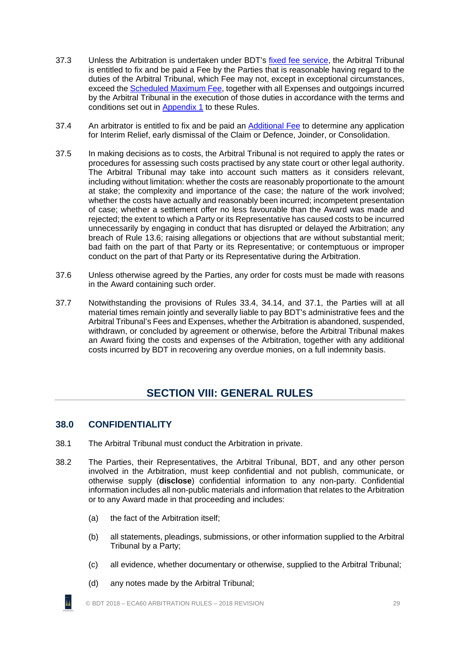- 37.3 Unless the Arbitration is undertaken under BDT's [fixed fee service,](#page-42-1) the Arbitral Tribunal is entitled to fix and be paid a Fee by the Parties that is reasonable having regard to the duties of the Arbitral Tribunal, which Fee may not, except in exceptional circumstances, exceed the [Scheduled Maximum Fee,](#page-42-2) together with all Expenses and outgoings incurred by the Arbitral Tribunal in the execution of those duties in accordance with the terms and conditions set out in [Appendix 1](#page-40-0) to these Rules.
- 37.4 An arbitrator is entitled to fix and be paid an [Additional Fee](#page-44-1) to determine any application for Interim Relief, early dismissal of the Claim or Defence, Joinder, or Consolidation.
- <span id="page-35-2"></span>37.5 In making decisions as to costs, the Arbitral Tribunal is not required to apply the rates or procedures for assessing such costs practised by any state court or other legal authority. The Arbitral Tribunal may take into account such matters as it considers relevant, including without limitation: whether the costs are reasonably proportionate to the amount at stake; the complexity and importance of the case; the nature of the work involved; whether the costs have actually and reasonably been incurred; incompetent presentation of case; whether a settlement offer no less favourable than the Award was made and rejected; the extent to which a Party or its Representative has caused costs to be incurred unnecessarily by engaging in conduct that has disrupted or delayed the Arbitration; any breach of Rule [13.6;](#page-17-3) raising allegations or objections that are without substantial merit; bad faith on the part of that Party or its Representative; or contemptuous or improper conduct on the part of that Party or its Representative during the Arbitration.
- 37.6 Unless otherwise agreed by the Parties, any order for costs must be made with reasons in the Award containing such order.
- <span id="page-35-3"></span><span id="page-35-0"></span>37.7 Notwithstanding the provisions of Rules [33.4,](#page-31-3) [34.14,](#page-33-4) and [37.1,](#page-34-5) the Parties will at all material times remain jointly and severally liable to pay BDT's administrative fees and the Arbitral Tribunal's Fees and Expenses, whether the Arbitration is abandoned, suspended, withdrawn, or concluded by agreement or otherwise, before the Arbitral Tribunal makes an Award fixing the costs and expenses of the Arbitration, together with any additional costs incurred by BDT in recovering any overdue monies, on a full indemnity basis.

# **SECTION VIII: GENERAL RULES**

# <span id="page-35-1"></span>**38.0 CONFIDENTIALITY**

- <span id="page-35-5"></span><span id="page-35-4"></span>38.1 The Arbitral Tribunal must conduct the Arbitration in private.
- 38.2 The Parties, their Representatives, the Arbitral Tribunal, BDT, and any other person involved in the Arbitration, must keep confidential and not publish, communicate, or otherwise supply (**disclose**) confidential information to any non-party. Confidential information includes all non-public materials and information that relates to the Arbitration or to any Award made in that proceeding and includes:
	- (a) the fact of the Arbitration itself;
	- (b) all statements, pleadings, submissions, or other information supplied to the Arbitral Tribunal by a Party;
	- (c) all evidence, whether documentary or otherwise, supplied to the Arbitral Tribunal;
	- (d) any notes made by the Arbitral Tribunal;

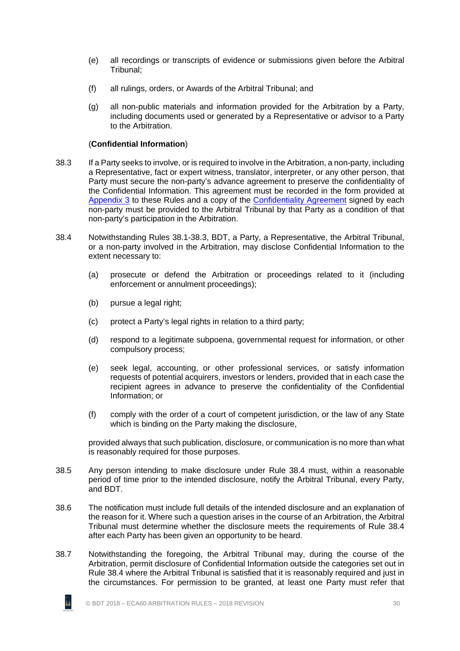- (e) all recordings or transcripts of evidence or submissions given before the Arbitral Tribunal;
- (f) all rulings, orders, or Awards of the Arbitral Tribunal; and
- (g) all non-public materials and information provided for the Arbitration by a Party, including documents used or generated by a Representative or advisor to a Party to the Arbitration.

#### (**Confidential Information**)

- <span id="page-36-0"></span>38.3 If a Party seeks to involve, or is required to involve in the Arbitration, a non-party, including a Representative, fact or expert witness, translator, interpreter, or any other person, that Party must secure the non-party's advance agreement to preserve the confidentiality of the Confidential Information. This agreement must be recorded in the form provided at [Appendix 3](#page-52-0) to these Rules and a copy of the [Confidentiality Agreement](http://buildingdisputestribunal.co.nz/Arbitration/Arbitration+Guides+and+Resources.html) signed by each non-party must be provided to the Arbitral Tribunal by that Party as a condition of that non-party's participation in the Arbitration.
- <span id="page-36-1"></span>38.4 Notwithstanding Rules [38.1-](#page-35-4)[38.3,](#page-36-0) BDT, a Party, a Representative, the Arbitral Tribunal, or a non-party involved in the Arbitration, may disclose Confidential Information to the extent necessary to:
	- (a) prosecute or defend the Arbitration or proceedings related to it (including enforcement or annulment proceedings);
	- (b) pursue a legal right;
	- (c) protect a Party's legal rights in relation to a third party;
	- (d) respond to a legitimate subpoena, governmental request for information, or other compulsory process;
	- (e) seek legal, accounting, or other professional services, or satisfy information requests of potential acquirers, investors or lenders, provided that in each case the recipient agrees in advance to preserve the confidentiality of the Confidential Information; or
	- (f) comply with the order of a court of competent jurisdiction, or the law of any State which is binding on the Party making the disclosure,

provided always that such publication, disclosure, or communication is no more than what is reasonably required for those purposes.

- <span id="page-36-3"></span>38.5 Any person intending to make disclosure under Rule [38.4](#page-36-1) must, within a reasonable period of time prior to the intended disclosure, notify the Arbitral Tribunal, every Party, and BDT.
- 38.6 The notification must include full details of the intended disclosure and an explanation of the reason for it. Where such a question arises in the course of an Arbitration, the Arbitral Tribunal must determine whether the disclosure meets the requirements of Rule [38.4](#page-36-1) after each Party has been given an opportunity to be heard.
- <span id="page-36-2"></span>38.7 Notwithstanding the foregoing, the Arbitral Tribunal may, during the course of the Arbitration, permit disclosure of Confidential Information outside the categories set out in Rule [38.4](#page-36-1) where the Arbitral Tribunal is satisfied that it is reasonably required and just in the circumstances. For permission to be granted, at least one Party must refer that

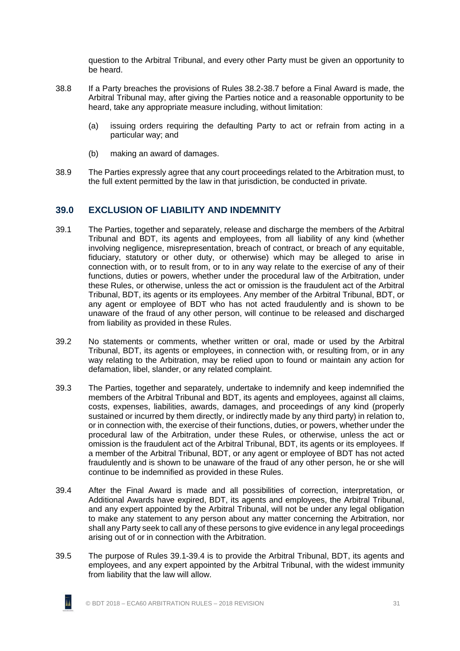question to the Arbitral Tribunal, and every other Party must be given an opportunity to be heard.

- 38.8 If a Party breaches the provisions of Rules [38.2-](#page-35-5)[38.7](#page-36-2) before a Final Award is made, the Arbitral Tribunal may, after giving the Parties notice and a reasonable opportunity to be heard, take any appropriate measure including, without limitation:
	- (a) issuing orders requiring the defaulting Party to act or refrain from acting in a particular way; and
	- (b) making an award of damages.
- <span id="page-37-0"></span>38.9 The Parties expressly agree that any court proceedings related to the Arbitration must, to the full extent permitted by the law in that jurisdiction, be conducted in private.

### **39.0 EXCLUSION OF LIABILITY AND INDEMNITY**

- <span id="page-37-1"></span>39.1 The Parties, together and separately, release and discharge the members of the Arbitral Tribunal and BDT, its agents and employees, from all liability of any kind (whether involving negligence, misrepresentation, breach of contract, or breach of any equitable, fiduciary, statutory or other duty, or otherwise) which may be alleged to arise in connection with, or to result from, or to in any way relate to the exercise of any of their functions, duties or powers, whether under the procedural law of the Arbitration, under these Rules, or otherwise, unless the act or omission is the fraudulent act of the Arbitral Tribunal, BDT, its agents or its employees. Any member of the Arbitral Tribunal, BDT, or any agent or employee of BDT who has not acted fraudulently and is shown to be unaware of the fraud of any other person, will continue to be released and discharged from liability as provided in these Rules.
- 39.2 No statements or comments, whether written or oral, made or used by the Arbitral Tribunal, BDT, its agents or employees, in connection with, or resulting from, or in any way relating to the Arbitration, may be relied upon to found or maintain any action for defamation, libel, slander, or any related complaint.
- 39.3 The Parties, together and separately, undertake to indemnify and keep indemnified the members of the Arbitral Tribunal and BDT, its agents and employees, against all claims, costs, expenses, liabilities, awards, damages, and proceedings of any kind (properly sustained or incurred by them directly, or indirectly made by any third party) in relation to, or in connection with, the exercise of their functions, duties, or powers, whether under the procedural law of the Arbitration, under these Rules, or otherwise, unless the act or omission is the fraudulent act of the Arbitral Tribunal, BDT, its agents or its employees. If a member of the Arbitral Tribunal, BDT, or any agent or employee of BDT has not acted fraudulently and is shown to be unaware of the fraud of any other person, he or she will continue to be indemnified as provided in these Rules.
- <span id="page-37-3"></span>39.4 After the Final Award is made and all possibilities of correction, interpretation, or Additional Awards have expired, BDT, its agents and employees, the Arbitral Tribunal, and any expert appointed by the Arbitral Tribunal, will not be under any legal obligation to make any statement to any person about any matter concerning the Arbitration, nor shall any Party seek to call any of these persons to give evidence in any legal proceedings arising out of or in connection with the Arbitration.
- <span id="page-37-2"></span>39.5 The purpose of Rules [39.1](#page-37-1)[-39.4](#page-37-3) is to provide the Arbitral Tribunal, BDT, its agents and employees, and any expert appointed by the Arbitral Tribunal, with the widest immunity from liability that the law will allow.

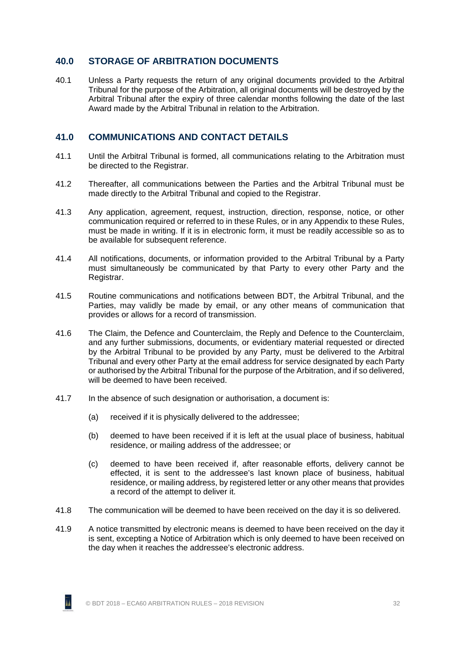# <span id="page-38-0"></span>**40.0 STORAGE OF ARBITRATION DOCUMENTS**

40.1 Unless a Party requests the return of any original documents provided to the Arbitral Tribunal for the purpose of the Arbitration, all original documents will be destroyed by the Arbitral Tribunal after the expiry of three calendar months following the date of the last Award made by the Arbitral Tribunal in relation to the Arbitration.

### <span id="page-38-1"></span>**41.0 COMMUNICATIONS AND CONTACT DETAILS**

- 41.1 Until the Arbitral Tribunal is formed, all communications relating to the Arbitration must be directed to the Registrar.
- 41.2 Thereafter, all communications between the Parties and the Arbitral Tribunal must be made directly to the Arbitral Tribunal and copied to the Registrar.
- 41.3 Any application, agreement, request, instruction, direction, response, notice, or other communication required or referred to in these Rules, or in any Appendix to these Rules, must be made in writing. If it is in electronic form, it must be readily accessible so as to be available for subsequent reference.
- 41.4 All notifications, documents, or information provided to the Arbitral Tribunal by a Party must simultaneously be communicated by that Party to every other Party and the Registrar.
- <span id="page-38-2"></span>41.5 Routine communications and notifications between BDT, the Arbitral Tribunal, and the Parties, may validly be made by email, or any other means of communication that provides or allows for a record of transmission.
- 41.6 The Claim, the Defence and Counterclaim, the Reply and Defence to the Counterclaim, and any further submissions, documents, or evidentiary material requested or directed by the Arbitral Tribunal to be provided by any Party, must be delivered to the Arbitral Tribunal and every other Party at the email address for service designated by each Party or authorised by the Arbitral Tribunal for the purpose of the Arbitration, and if so delivered, will be deemed to have been received.
- 41.7 In the absence of such designation or authorisation, a document is:
	- (a) received if it is physically delivered to the addressee;
	- (b) deemed to have been received if it is left at the usual place of business, habitual residence, or mailing address of the addressee; or
	- (c) deemed to have been received if, after reasonable efforts, delivery cannot be effected, it is sent to the addressee's last known place of business, habitual residence, or mailing address, by registered letter or any other means that provides a record of the attempt to deliver it.
- <span id="page-38-3"></span>41.8 The communication will be deemed to have been received on the day it is so delivered.
- 41.9 A notice transmitted by electronic means is deemed to have been received on the day it is sent, excepting a Notice of Arbitration which is only deemed to have been received on the day when it reaches the addressee's electronic address.

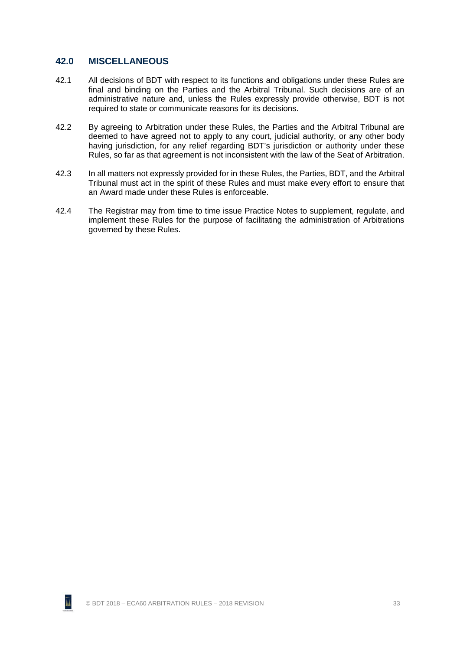#### <span id="page-39-0"></span>**42.0 MISCELLANEOUS**

- <span id="page-39-1"></span>42.1 All decisions of BDT with respect to its functions and obligations under these Rules are final and binding on the Parties and the Arbitral Tribunal. Such decisions are of an administrative nature and, unless the Rules expressly provide otherwise, BDT is not required to state or communicate reasons for its decisions.
- 42.2 By agreeing to Arbitration under these Rules, the Parties and the Arbitral Tribunal are deemed to have agreed not to apply to any court, judicial authority, or any other body having jurisdiction, for any relief regarding BDT's jurisdiction or authority under these Rules, so far as that agreement is not inconsistent with the law of the Seat of Arbitration.
- 42.3 In all matters not expressly provided for in these Rules, the Parties, BDT, and the Arbitral Tribunal must act in the spirit of these Rules and must make every effort to ensure that an Award made under these Rules is enforceable.
- 42.4 The Registrar may from time to time issue Practice Notes to supplement, regulate, and implement these Rules for the purpose of facilitating the administration of Arbitrations governed by these Rules.

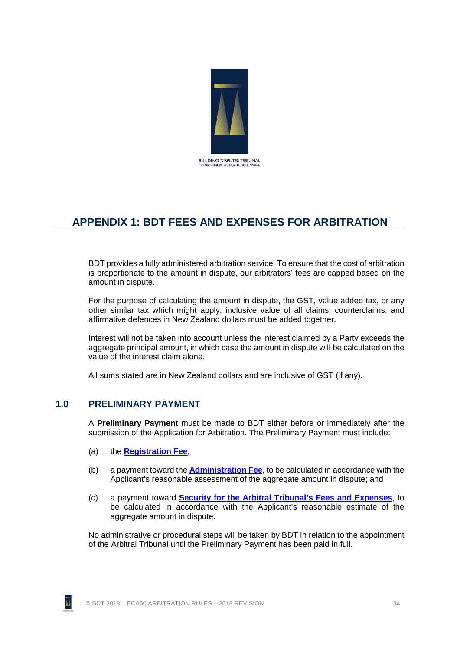

# <span id="page-40-0"></span>**APPENDIX 1: BDT FEES AND EXPENSES FOR ARBITRATION**

BDT provides a fully administered arbitration service. To ensure that the cost of arbitration is proportionate to the amount in dispute, our arbitrators' fees are capped based on the amount in dispute.

For the purpose of calculating the amount in dispute, the GST, value added tax, or any other similar tax which might apply, inclusive value of all claims, counterclaims, and affirmative defences in New Zealand dollars must be added together.

Interest will not be taken into account unless the interest claimed by a Party exceeds the aggregate principal amount, in which case the amount in dispute will be calculated on the value of the interest claim alone.

All sums stated are in New Zealand dollars and are inclusive of GST (if any).

# <span id="page-40-1"></span>**1.0 PRELIMINARY PAYMENT**

A **Preliminary Payment** must be made to BDT either before or immediately after the submission of the Application for Arbitration. The Preliminary Payment must include:

- (a) the **[Registration Fee](#page-41-0)**;
- (b) a payment toward the **[Administration Fee](#page-41-1)**, to be calculated in accordance with the Applicant's reasonable assessment of the aggregate amount in dispute; and
- (c) a payment toward **[Security for the Arbitral Tribunal's Fees and](#page-42-0) Expenses**, to be calculated in accordance with the Applicant's reasonable estimate of the aggregate amount in dispute.

No administrative or procedural steps will be taken by BDT in relation to the appointment of the Arbitral Tribunal until the Preliminary Payment has been paid in full.

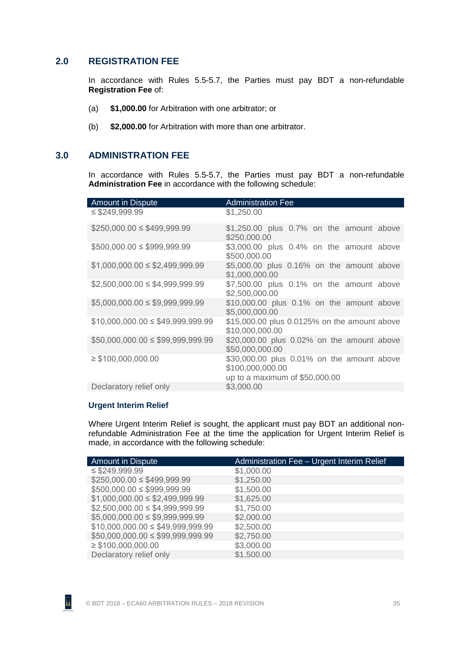#### <span id="page-41-0"></span>**2.0 REGISTRATION FEE**

In accordance with Rules [5.5](#page-11-1)[-5.7,](#page-11-2) the Parties must pay BDT a non-refundable **Registration Fee** of:

- (a) **\$1,000.00** for Arbitration with one arbitrator; or
- (b) **\$2,000.00** for Arbitration with more than one arbitrator.

#### <span id="page-41-1"></span>**3.0 ADMINISTRATION FEE**

In accordance with Rules [5.5](#page-11-1)[-5.7,](#page-11-2) the Parties must pay BDT a non-refundable **Administration Fee** in accordance with the following schedule:

| <b>Amount in Dispute</b>            | <b>Administration Fee</b>                                                                         |
|-------------------------------------|---------------------------------------------------------------------------------------------------|
| $\leq$ \$249,999.99                 | \$1,250.00                                                                                        |
| $$250,000.00 \le $499,999.99$       | \$1,250.00 plus 0.7% on the amount above<br>\$250,000.00                                          |
| $$500,000.00 \le $999,999.99$       | \$3,000.00 plus 0.4% on the amount above<br>\$500,000.00                                          |
| $$1,000,000.00 \le $2,499,999.99$   | \$5,000.00 plus 0.16% on the amount above<br>\$1,000,000.00                                       |
| $$2,500,000.00 \leq $4,999,999.99$  | \$7,500.00 plus 0.1% on the amount above<br>\$2,500,000.00                                        |
| $$5,000,000.00 \le $9,999,999.99$   | \$10,000.00 plus 0.1% on the amount above<br>\$5,000,000.00                                       |
| $$10,000,000.00 \le $49,999,999.99$ | \$15,000.00 plus 0.0125% on the amount above<br>\$10,000,000.00                                   |
| $$50,000,000.00 \le $99,999,999.99$ | \$20,000.00 plus 0.02% on the amount above<br>\$50,000,000.00                                     |
| $\geq$ \$100,000,000.00             | \$30,000.00 plus 0.01% on the amount above<br>\$100,000,000.00<br>up to a maximum of $$50,000.00$ |
| Declaratory relief only             | \$3,000.00                                                                                        |
|                                     |                                                                                                   |

#### <span id="page-41-2"></span>**Urgent Interim Relief**

Where Urgent Interim Relief is sought, the applicant must pay BDT an additional nonrefundable Administration Fee at the time the application for Urgent Interim Relief is made, in accordance with the following schedule:

| <b>Amount in Dispute</b>            | Administration Fee - Urgent Interim Relief |
|-------------------------------------|--------------------------------------------|
| $\leq$ \$249,999.99                 | \$1,000.00                                 |
| $$250,000.00 \le $499,999.99$       | \$1,250.00                                 |
| $$500,000.00 \le $999,999.99$       | \$1,500.00                                 |
| $$1,000,000.00 \le $2,499,999.99$   | \$1,625.00                                 |
| $$2,500,000.00 \le $4,999,999.99$   | \$1,750.00                                 |
| $$5,000,000.00 \le $9,999,999.99$   | \$2,000.00                                 |
| $$10,000,000.00 \le $49,999,999.99$ | \$2,500.00                                 |
| $$50,000,000.00 \le $99,999,999.99$ | \$2,750.00                                 |
| $\geq$ \$100,000,000.00             | \$3,000.00                                 |
| Declaratory relief only             | \$1,500.00                                 |



īi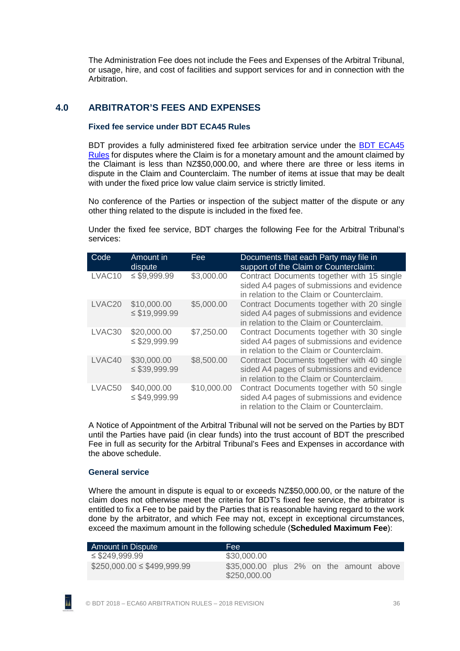The Administration Fee does not include the Fees and Expenses of the Arbitral Tribunal, or usage, hire, and cost of facilities and support services for and in connection with the Arbitration.

# <span id="page-42-1"></span><span id="page-42-0"></span>**4.0 ARBITRATOR'S FEES AND EXPENSES**

#### **Fixed fee service under BDT ECA45 Rules**

BDT provides a fully administered fixed fee arbitration service under the BDT [ECA45](http://buildingdisputestribunal.co.nz/Arbitration/Arbitration+Rules/BDT+ECA45+Rules.html) [Rules](http://buildingdisputestribunal.co.nz/Arbitration/Arbitration+Rules/BDT+ECA45+Rules.html) for disputes where the Claim is for a monetary amount and the amount claimed by the Claimant is less than NZ\$50,000.00, and where there are three or less items in dispute in the Claim and Counterclaim. The number of items at issue that may be dealt with under the fixed price low value claim service is strictly limited.

No conference of the Parties or inspection of the subject matter of the dispute or any other thing related to the dispute is included in the fixed fee.

Under the fixed fee service, BDT charges the following Fee for the Arbitral Tribunal's services:

| Code               | Amount in<br>dispute              | Fee         | Documents that each Party may file in<br>support of the Claim or Counterclaim:                                                        |
|--------------------|-----------------------------------|-------------|---------------------------------------------------------------------------------------------------------------------------------------|
| LVAC10             | $\leq$ \$9,999.99                 | \$3,000.00  | Contract Documents together with 15 single<br>sided A4 pages of submissions and evidence<br>in relation to the Claim or Counterclaim. |
| LVAC <sub>20</sub> | \$10,000.00<br>$\leq$ \$19,999.99 | \$5,000.00  | Contract Documents together with 20 single<br>sided A4 pages of submissions and evidence<br>in relation to the Claim or Counterclaim. |
| LVAC30             | \$20,000.00<br>$\leq$ \$29,999.99 | \$7,250.00  | Contract Documents together with 30 single<br>sided A4 pages of submissions and evidence<br>in relation to the Claim or Counterclaim. |
| LVAC40             | \$30,000.00<br>$\leq$ \$39,999.99 | \$8,500.00  | Contract Documents together with 40 single<br>sided A4 pages of submissions and evidence<br>in relation to the Claim or Counterclaim. |
| LVAC50             | \$40,000.00<br>$\leq$ \$49,999.99 | \$10,000.00 | Contract Documents together with 50 single<br>sided A4 pages of submissions and evidence<br>in relation to the Claim or Counterclaim. |

A Notice of Appointment of the Arbitral Tribunal will not be served on the Parties by BDT until the Parties have paid (in clear funds) into the trust account of BDT the prescribed Fee in full as security for the Arbitral Tribunal's Fees and Expenses in accordance with the above schedule.

#### <span id="page-42-2"></span>**General service**

Where the amount in dispute is equal to or exceeds NZ\$50,000.00, or the nature of the claim does not otherwise meet the criteria for BDT's fixed fee service, the arbitrator is entitled to fix a Fee to be paid by the Parties that is reasonable having regard to the work done by the arbitrator, and which Fee may not, except in exceptional circumstances, exceed the maximum amount in the following schedule (**Scheduled Maximum Fee**):

| Amount in Dispute             | Fee:                                                    |
|-------------------------------|---------------------------------------------------------|
| $\leq$ \$249,999.99           | \$30,000.00                                             |
| $$250,000.00 \le $499,999.99$ | \$35,000.00 plus 2% on the amount above<br>\$250,000.00 |

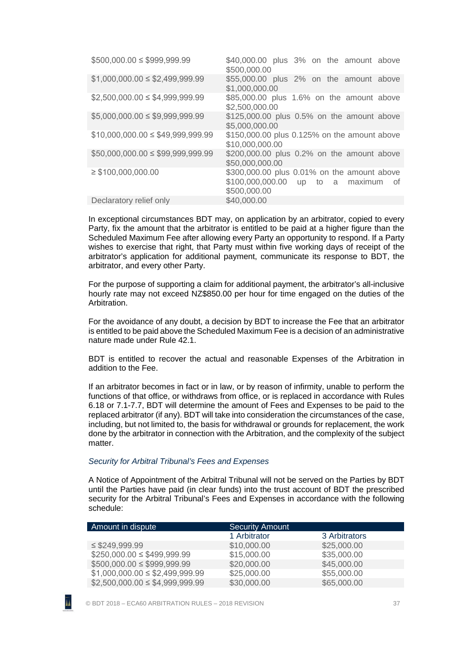| $$500,000.00 \le $999,999.99$        | \$40,000.00 plus 3% on the amount above<br>\$500,000.00                                               |
|--------------------------------------|-------------------------------------------------------------------------------------------------------|
| $$1,000,000.00 \le $2,499,999.99$    | \$55,000.00 plus 2% on the amount above<br>\$1,000,000.00                                             |
| $$2,500,000.00 \le $4,999,999.99$    | \$85,000.00 plus 1.6% on the amount above<br>\$2,500,000.00                                           |
| $$5,000,000.00 \leq $9,999,999.99$   | \$125,000.00 plus 0.5% on the amount above<br>\$5,000,000.00                                          |
| $$10,000,000.00 \le $49,999,999.99$  | \$150,000.00 plus 0.125% on the amount above<br>\$10,000,000.00                                       |
| $$50,000,000.00 \leq $99,999,999.99$ | \$200,000.00 plus 0.2% on the amount above<br>\$50,000,000.00                                         |
| $\geq$ \$100,000,000.00              | \$300,000.00 plus 0.01% on the amount above<br>\$100,000,000.00 up to a maximum<br>0t<br>\$500,000.00 |
| Declaratory relief only              | \$40,000.00                                                                                           |

In exceptional circumstances BDT may, on application by an arbitrator, copied to every Party, fix the amount that the arbitrator is entitled to be paid at a higher figure than the Scheduled Maximum Fee after allowing every Party an opportunity to respond. If a Party wishes to exercise that right, that Party must within five working days of receipt of the arbitrator's application for additional payment, communicate its response to BDT, the arbitrator, and every other Party.

For the purpose of supporting a claim for additional payment, the arbitrator's all-inclusive hourly rate may not exceed NZ\$850.00 per hour for time engaged on the duties of the Arbitration.

For the avoidance of any doubt, a decision by BDT to increase the Fee that an arbitrator is entitled to be paid above the Scheduled Maximum Fee is a decision of an administrative nature made under Rul[e 42.1.](#page-39-1)

BDT is entitled to recover the actual and reasonable Expenses of the Arbitration in addition to the Fee.

If an arbitrator becomes in fact or in law, or by reason of infirmity, unable to perform the functions of that office, or withdraws from office, or is replaced in accordance with Rules [6.18](#page-14-4) or [7.1-](#page-14-3)[7.7,](#page-15-0) BDT will determine the amount of Fees and Expenses to be paid to the replaced arbitrator (if any). BDT will take into consideration the circumstances of the case, including, but not limited to, the basis for withdrawal or grounds for replacement, the work done by the arbitrator in connection with the Arbitration, and the complexity of the subject matter.

#### <span id="page-43-0"></span>*Security for Arbitral Tribunal's Fees and Expenses*

A Notice of Appointment of the Arbitral Tribunal will not be served on the Parties by BDT until the Parties have paid (in clear funds) into the trust account of BDT the prescribed security for the Arbitral Tribunal's Fees and Expenses in accordance with the following schedule:

| Amount in dispute                 | <b>Security Amount</b> |               |
|-----------------------------------|------------------------|---------------|
|                                   | 1 Arbitrator           | 3 Arbitrators |
| $\leq$ \$249,999.99               | \$10,000.00            | \$25,000.00   |
| $$250,000.00 \le $499,999.99$     | \$15,000.00            | \$35,000.00   |
| $$500,000.00 \le $999,999.99$     | \$20,000.00            | \$45,000.00   |
| $$1,000,000.00 \le $2,499.999.99$ | \$25,000.00            | \$55,000.00   |
| $$2,500,000.00 \le $4,999.999.99$ | \$30,000.00            | \$65,000.00   |

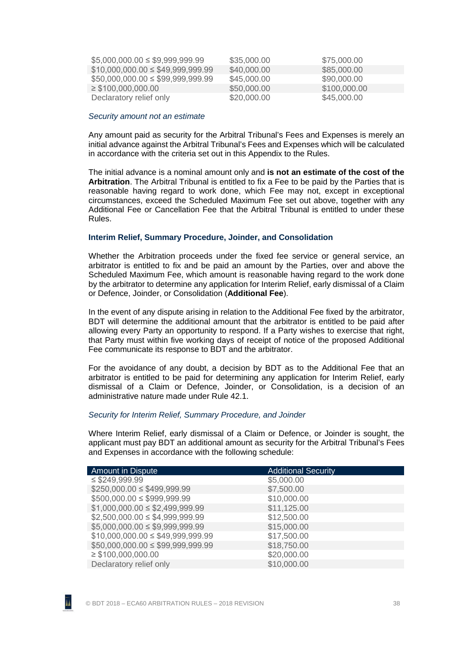| $$5,000,000.00 \leq $9,999,999.99$  | \$35,000.00 | \$75,000.00  |
|-------------------------------------|-------------|--------------|
| $$10,000,000.00 \le $49,999,999.99$ | \$40,000.00 | \$85,000.00  |
| $$50,000,000.00 \le $99,999,999.99$ | \$45,000.00 | \$90,000.00  |
| $\geq$ \$100,000,000.00             | \$50,000.00 | \$100,000.00 |
| Declaratory relief only             | \$20,000.00 | \$45,000.00  |

#### <span id="page-44-0"></span>*Security amount not an estimate*

Any amount paid as security for the Arbitral Tribunal's Fees and Expenses is merely an initial advance against the Arbitral Tribunal's Fees and Expenses which will be calculated in accordance with the criteria set out in this Appendix to the Rules.

The initial advance is a nominal amount only and **is not an estimate of the cost of the Arbitration**. The Arbitral Tribunal is entitled to fix a Fee to be paid by the Parties that is reasonable having regard to work done, which Fee may not, except in exceptional circumstances, exceed the Scheduled Maximum Fee set out above, together with any Additional Fee or Cancellation Fee that the Arbitral Tribunal is entitled to under these Rules.

#### <span id="page-44-1"></span>**Interim Relief, Summary Procedure, Joinder, and Consolidation**

Whether the Arbitration proceeds under the fixed fee service or general service, an arbitrator is entitled to fix and be paid an amount by the Parties, over and above the Scheduled Maximum Fee, which amount is reasonable having regard to the work done by the arbitrator to determine any application for Interim Relief, early dismissal of a Claim or Defence, Joinder, or Consolidation (**Additional Fee**).

In the event of any dispute arising in relation to the Additional Fee fixed by the arbitrator, BDT will determine the additional amount that the arbitrator is entitled to be paid after allowing every Party an opportunity to respond. If a Party wishes to exercise that right, that Party must within five working days of receipt of notice of the proposed Additional Fee communicate its response to BDT and the arbitrator.

For the avoidance of any doubt, a decision by BDT as to the Additional Fee that an arbitrator is entitled to be paid for determining any application for Interim Relief, early dismissal of a Claim or Defence, Joinder, or Consolidation, is a decision of an administrative nature made under Rule [42.1.](#page-39-1)

#### <span id="page-44-2"></span>*Security for Interim Relief, Summary Procedure, and Joinder*

Where Interim Relief, early dismissal of a Claim or Defence, or Joinder is sought, the applicant must pay BDT an additional amount as security for the Arbitral Tribunal's Fees and Expenses in accordance with the following schedule:

| <b>Additional Security</b> |
|----------------------------|
| \$5,000.00                 |
| \$7,500.00                 |
| \$10,000.00                |
| \$11,125.00                |
| \$12,500.00                |
| \$15,000.00                |
| \$17,500.00                |
| \$18,750.00                |
| \$20,000.00                |
| \$10,000.00                |
|                            |

AA.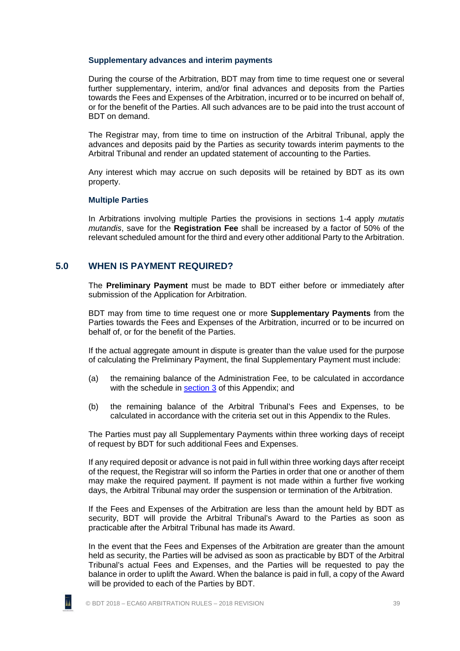#### <span id="page-45-0"></span>**Supplementary advances and interim payments**

During the course of the Arbitration, BDT may from time to time request one or several further supplementary, interim, and/or final advances and deposits from the Parties towards the Fees and Expenses of the Arbitration, incurred or to be incurred on behalf of, or for the benefit of the Parties. All such advances are to be paid into the trust account of BDT on demand.

The Registrar may, from time to time on instruction of the Arbitral Tribunal, apply the advances and deposits paid by the Parties as security towards interim payments to the Arbitral Tribunal and render an updated statement of accounting to the Parties.

Any interest which may accrue on such deposits will be retained by BDT as its own property.

#### <span id="page-45-1"></span>**Multiple Parties**

In Arbitrations involving multiple Parties the provisions in sections 1-4 apply *mutatis mutandis*, save for the **Registration Fee** shall be increased by a factor of 50% of the relevant scheduled amount for the third and every other additional Party to the Arbitration.

#### <span id="page-45-2"></span>**5.0 WHEN IS PAYMENT REQUIRED?**

The **Preliminary Payment** must be made to BDT either before or immediately after submission of the Application for Arbitration.

BDT may from time to time request one or more **Supplementary Payments** from the Parties towards the Fees and Expenses of the Arbitration, incurred or to be incurred on behalf of, or for the benefit of the Parties.

If the actual aggregate amount in dispute is greater than the value used for the purpose of calculating the Preliminary Payment, the final Supplementary Payment must include:

- (a) the remaining balance of the Administration Fee, to be calculated in accordance with the schedule in [section 3](#page-41-1) of this Appendix; and
- (b) the remaining balance of the Arbitral Tribunal's Fees and Expenses, to be calculated in accordance with the criteria set out in this Appendix to the Rules.

The Parties must pay all Supplementary Payments within three working days of receipt of request by BDT for such additional Fees and Expenses.

If any required deposit or advance is not paid in full within three working days after receipt of the request, the Registrar will so inform the Parties in order that one or another of them may make the required payment. If payment is not made within a further five working days, the Arbitral Tribunal may order the suspension or termination of the Arbitration.

If the Fees and Expenses of the Arbitration are less than the amount held by BDT as security, BDT will provide the Arbitral Tribunal's Award to the Parties as soon as practicable after the Arbitral Tribunal has made its Award.

In the event that the Fees and Expenses of the Arbitration are greater than the amount held as security, the Parties will be advised as soon as practicable by BDT of the Arbitral Tribunal's actual Fees and Expenses, and the Parties will be requested to pay the balance in order to uplift the Award. When the balance is paid in full, a copy of the Award will be provided to each of the Parties by BDT.



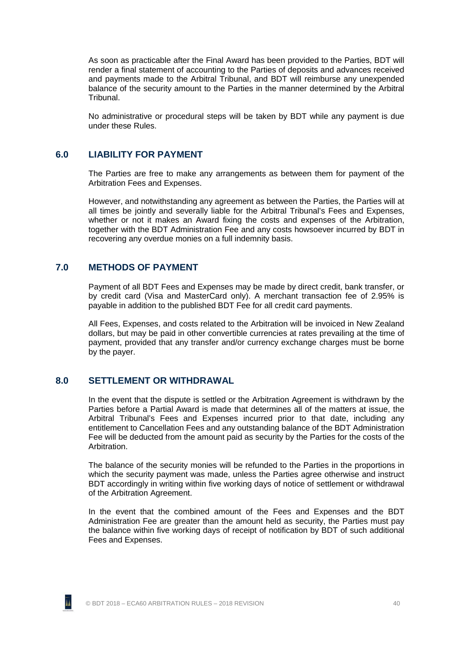As soon as practicable after the Final Award has been provided to the Parties, BDT will render a final statement of accounting to the Parties of deposits and advances received and payments made to the Arbitral Tribunal, and BDT will reimburse any unexpended balance of the security amount to the Parties in the manner determined by the Arbitral Tribunal.

No administrative or procedural steps will be taken by BDT while any payment is due under these Rules.

#### <span id="page-46-0"></span>**6.0 LIABILITY FOR PAYMENT**

The Parties are free to make any arrangements as between them for payment of the Arbitration Fees and Expenses.

However, and notwithstanding any agreement as between the Parties, the Parties will at all times be jointly and severally liable for the Arbitral Tribunal's Fees and Expenses, whether or not it makes an Award fixing the costs and expenses of the Arbitration, together with the BDT Administration Fee and any costs howsoever incurred by BDT in recovering any overdue monies on a full indemnity basis.

#### <span id="page-46-1"></span>**7.0 METHODS OF PAYMENT**

Payment of all BDT Fees and Expenses may be made by direct credit, bank transfer, or by credit card (Visa and MasterCard only). A merchant transaction fee of 2.95% is payable in addition to the published BDT Fee for all credit card payments.

All Fees, Expenses, and costs related to the Arbitration will be invoiced in New Zealand dollars, but may be paid in other convertible currencies at rates prevailing at the time of payment, provided that any transfer and/or currency exchange charges must be borne by the payer.

#### <span id="page-46-2"></span>**8.0 SETTLEMENT OR WITHDRAWAL**

In the event that the dispute is settled or the Arbitration Agreement is withdrawn by the Parties before a Partial Award is made that determines all of the matters at issue, the Arbitral Tribunal's Fees and Expenses incurred prior to that date, including any entitlement to Cancellation Fees and any outstanding balance of the BDT Administration Fee will be deducted from the amount paid as security by the Parties for the costs of the Arbitration.

The balance of the security monies will be refunded to the Parties in the proportions in which the security payment was made, unless the Parties agree otherwise and instruct BDT accordingly in writing within five working days of notice of settlement or withdrawal of the Arbitration Agreement.

In the event that the combined amount of the Fees and Expenses and the BDT Administration Fee are greater than the amount held as security, the Parties must pay the balance within five working days of receipt of notification by BDT of such additional Fees and Expenses.

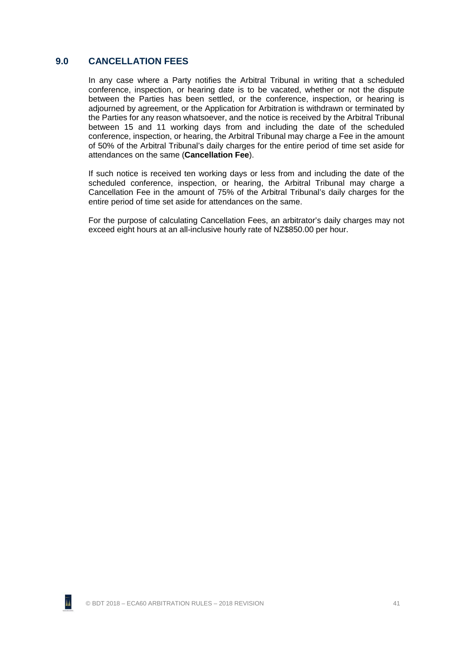#### <span id="page-47-0"></span>**9.0 CANCELLATION FEES**

In any case where a Party notifies the Arbitral Tribunal in writing that a scheduled conference, inspection, or hearing date is to be vacated, whether or not the dispute between the Parties has been settled, or the conference, inspection, or hearing is adjourned by agreement, or the Application for Arbitration is withdrawn or terminated by the Parties for any reason whatsoever, and the notice is received by the Arbitral Tribunal between 15 and 11 working days from and including the date of the scheduled conference, inspection, or hearing, the Arbitral Tribunal may charge a Fee in the amount of 50% of the Arbitral Tribunal's daily charges for the entire period of time set aside for attendances on the same (**Cancellation Fee**).

If such notice is received ten working days or less from and including the date of the scheduled conference, inspection, or hearing, the Arbitral Tribunal may charge a Cancellation Fee in the amount of 75% of the Arbitral Tribunal's daily charges for the entire period of time set aside for attendances on the same.

For the purpose of calculating Cancellation Fees, an arbitrator's daily charges may not exceed eight hours at an all-inclusive hourly rate of NZ\$850.00 per hour.

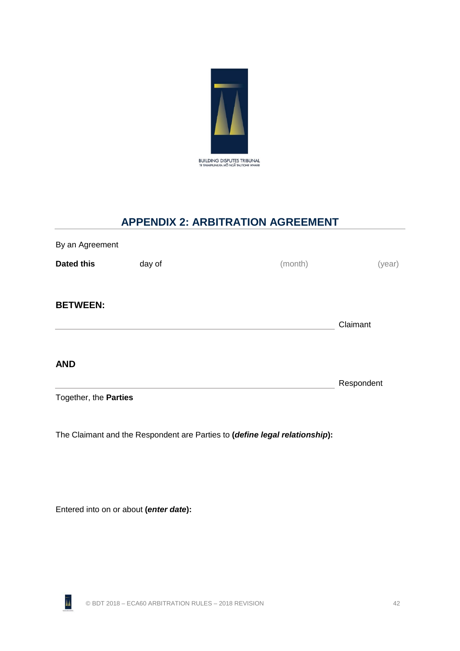

# **APPENDIX 2: ARBITRATION AGREEMENT**

<span id="page-48-0"></span>

| By an Agreement       |        |         |            |
|-----------------------|--------|---------|------------|
| <b>Dated this</b>     | day of | (month) | (year)     |
|                       |        |         |            |
| <b>BETWEEN:</b>       |        |         |            |
|                       |        |         | Claimant   |
|                       |        |         |            |
| <b>AND</b>            |        |         |            |
|                       |        |         | Respondent |
| Together, the Parties |        |         |            |
|                       |        |         |            |

The Claimant and the Respondent are Parties to **(***define legal relationship***):**

Entered into on or about **(***enter date***):**

ĀÂ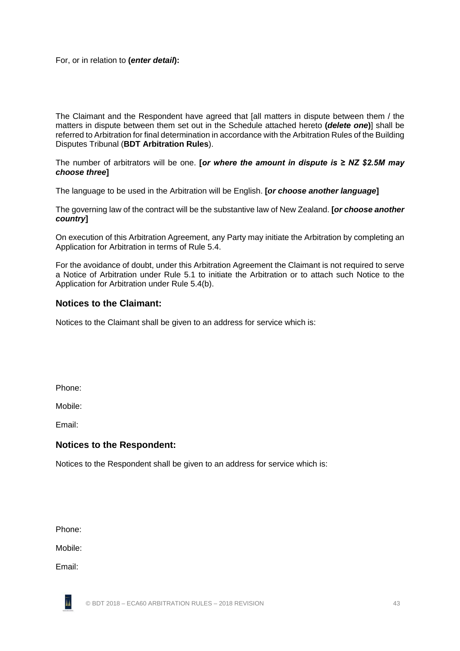For, or in relation to **(***enter detail***):**

The Claimant and the Respondent have agreed that [all matters in dispute between them / the matters in dispute between them set out in the Schedule attached hereto **(***delete one***)**] shall be referred to Arbitration for final determination in accordance with the Arbitration Rules of the Building Disputes Tribunal (**BDT Arbitration Rules**).

The number of arbitrators will be one. **[***or where the amount in dispute is ≥ NZ \$2.5M may choose three***]**

The language to be used in the Arbitration will be English. **[***or choose another language***]**

The governing law of the contract will be the substantive law of New Zealand. **[***or choose another country***]**

On execution of this Arbitration Agreement, any Party may initiate the Arbitration by completing an Application for Arbitration in terms of Rule [5.4.](#page-11-3)

For the avoidance of doubt, under this Arbitration Agreement the Claimant is not required to serve a Notice of Arbitration under Rule [5.1](#page-10-2) to initiate the Arbitration or to attach such Notice to the Application for Arbitration under Rule [5.4\(b\).](#page-11-4)

### **Notices to the Claimant:**

Notices to the Claimant shall be given to an address for service which is:

Phone:

Mobile:

Email:

#### **Notices to the Respondent:**

Notices to the Respondent shall be given to an address for service which is:

Phone:

Mobile:

Email:

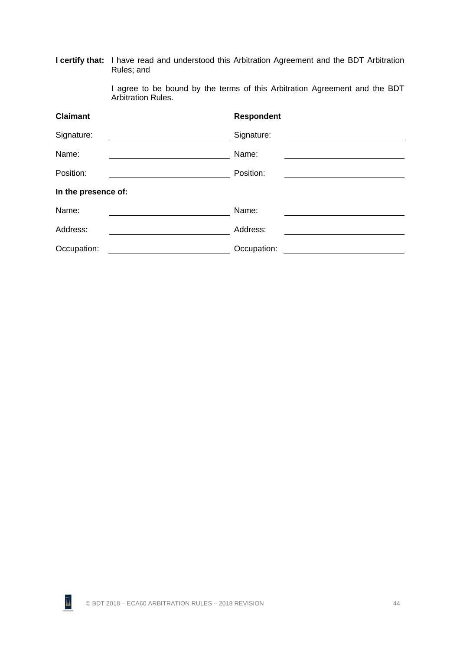|                     | <b>I certify that:</b> I have read and understood this Arbitration Agreement and the BDT Arbitration<br>Rules; and |                   |  |  |
|---------------------|--------------------------------------------------------------------------------------------------------------------|-------------------|--|--|
|                     | I agree to be bound by the terms of this Arbitration Agreement and the BDT<br><b>Arbitration Rules.</b>            |                   |  |  |
| <b>Claimant</b>     |                                                                                                                    | <b>Respondent</b> |  |  |
| Signature:          |                                                                                                                    | Signature:        |  |  |
| Name:               |                                                                                                                    | Name:             |  |  |
| Position:           |                                                                                                                    | Position:         |  |  |
| In the presence of: |                                                                                                                    |                   |  |  |
| Name:               |                                                                                                                    | Name:             |  |  |
| Address:            |                                                                                                                    | Address:          |  |  |
| Occupation:         |                                                                                                                    | Occupation:       |  |  |

ĀÂ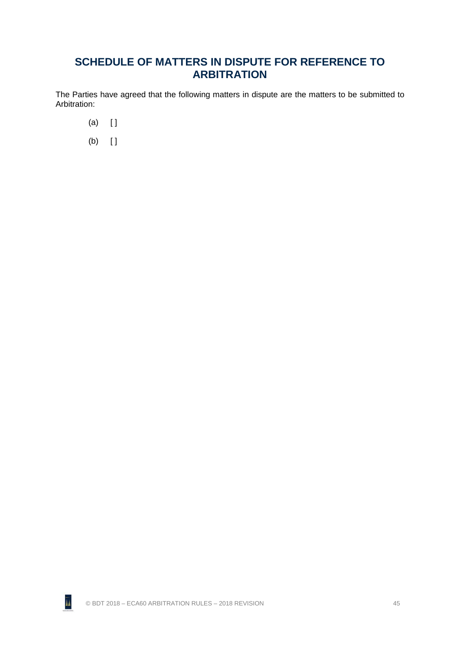# **SCHEDULE OF MATTERS IN DISPUTE FOR REFERENCE TO ARBITRATION**

The Parties have agreed that the following matters in dispute are the matters to be submitted to Arbitration:

- $(a)$   $[$   $]$
- $(b)$  []

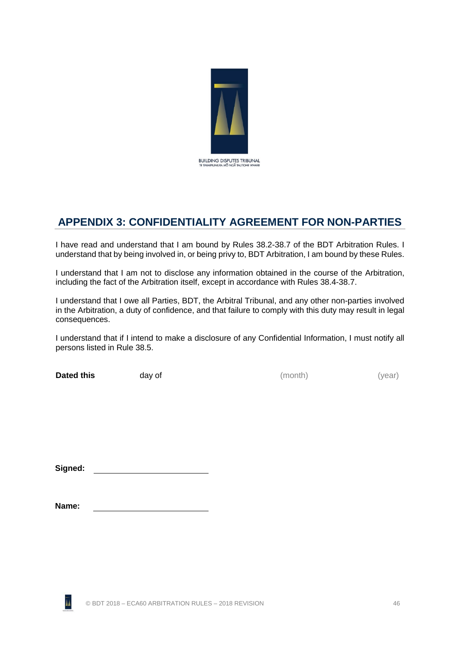

# <span id="page-52-0"></span>**APPENDIX 3: CONFIDENTIALITY AGREEMENT FOR NON-PARTIES**

I have read and understand that I am bound by Rules [38.2](#page-35-5)[-38.7](#page-36-2) of the BDT Arbitration Rules. I understand that by being involved in, or being privy to, BDT Arbitration, I am bound by these Rules.

I understand that I am not to disclose any information obtained in the course of the Arbitration, including the fact of the Arbitration itself, except in accordance with Rules [38.4](#page-36-1)[-38.7.](#page-36-2)

I understand that I owe all Parties, BDT, the Arbitral Tribunal, and any other non-parties involved in the Arbitration, a duty of confidence, and that failure to comply with this duty may result in legal consequences.

I understand that if I intend to make a disclosure of any Confidential Information, I must notify all persons listed in Rule [38.5.](#page-36-3)

**Dated this** day of  $($ month) (year)

**Signed:**

| Name: |
|-------|
|       |

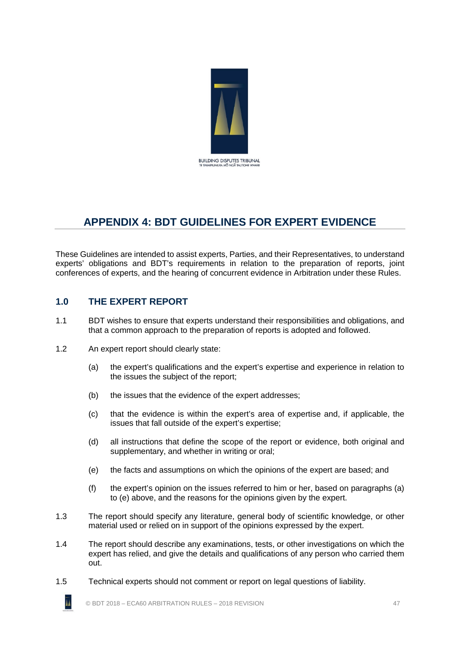

# <span id="page-53-0"></span>**APPENDIX 4: BDT GUIDELINES FOR EXPERT EVIDENCE**

These Guidelines are intended to assist experts, Parties, and their Representatives, to understand experts' obligations and BDT's requirements in relation to the preparation of reports, joint conferences of experts, and the hearing of concurrent evidence in Arbitration under these Rules.

# <span id="page-53-1"></span>**1.0 THE EXPERT REPORT**

- 1.1 BDT wishes to ensure that experts understand their responsibilities and obligations, and that a common approach to the preparation of reports is adopted and followed.
- 1.2 An expert report should clearly state:
	- (a) the expert's qualifications and the expert's expertise and experience in relation to the issues the subject of the report;
	- (b) the issues that the evidence of the expert addresses;
	- (c) that the evidence is within the expert's area of expertise and, if applicable, the issues that fall outside of the expert's expertise;
	- (d) all instructions that define the scope of the report or evidence, both original and supplementary, and whether in writing or oral;
	- (e) the facts and assumptions on which the opinions of the expert are based; and
	- (f) the expert's opinion on the issues referred to him or her, based on paragraphs (a) to (e) above, and the reasons for the opinions given by the expert.
- 1.3 The report should specify any literature, general body of scientific knowledge, or other material used or relied on in support of the opinions expressed by the expert.
- 1.4 The report should describe any examinations, tests, or other investigations on which the expert has relied, and give the details and qualifications of any person who carried them out.
- 1.5 Technical experts should not comment or report on legal questions of liability.

© BDT 2018 – ECA60 ARBITRATION RULES – 2018 REVISION 47

ĀÁ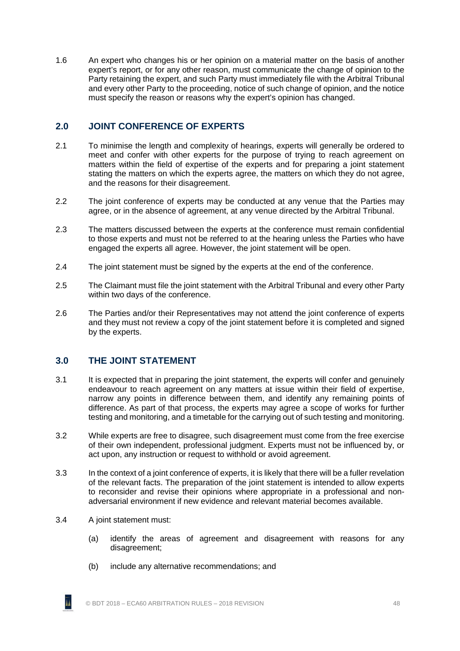1.6 An expert who changes his or her opinion on a material matter on the basis of another expert's report, or for any other reason, must communicate the change of opinion to the Party retaining the expert, and such Party must immediately file with the Arbitral Tribunal and every other Party to the proceeding, notice of such change of opinion, and the notice must specify the reason or reasons why the expert's opinion has changed.

# <span id="page-54-0"></span>**2.0 JOINT CONFERENCE OF EXPERTS**

- 2.1 To minimise the length and complexity of hearings, experts will generally be ordered to meet and confer with other experts for the purpose of trying to reach agreement on matters within the field of expertise of the experts and for preparing a joint statement stating the matters on which the experts agree, the matters on which they do not agree, and the reasons for their disagreement.
- 2.2 The joint conference of experts may be conducted at any venue that the Parties may agree, or in the absence of agreement, at any venue directed by the Arbitral Tribunal.
- 2.3 The matters discussed between the experts at the conference must remain confidential to those experts and must not be referred to at the hearing unless the Parties who have engaged the experts all agree. However, the joint statement will be open.
- 2.4 The joint statement must be signed by the experts at the end of the conference.
- 2.5 The Claimant must file the joint statement with the Arbitral Tribunal and every other Party within two days of the conference.
- 2.6 The Parties and/or their Representatives may not attend the joint conference of experts and they must not review a copy of the joint statement before it is completed and signed by the experts.

# <span id="page-54-1"></span>**3.0 THE JOINT STATEMENT**

- 3.1 It is expected that in preparing the joint statement, the experts will confer and genuinely endeavour to reach agreement on any matters at issue within their field of expertise, narrow any points in difference between them, and identify any remaining points of difference. As part of that process, the experts may agree a scope of works for further testing and monitoring, and a timetable for the carrying out of such testing and monitoring.
- 3.2 While experts are free to disagree, such disagreement must come from the free exercise of their own independent, professional judgment. Experts must not be influenced by, or act upon, any instruction or request to withhold or avoid agreement.
- 3.3 In the context of a joint conference of experts, it is likely that there will be a fuller revelation of the relevant facts. The preparation of the joint statement is intended to allow experts to reconsider and revise their opinions where appropriate in a professional and nonadversarial environment if new evidence and relevant material becomes available.
- 3.4 A joint statement must:
	- (a) identify the areas of agreement and disagreement with reasons for any disagreement;
	- (b) include any alternative recommendations; and

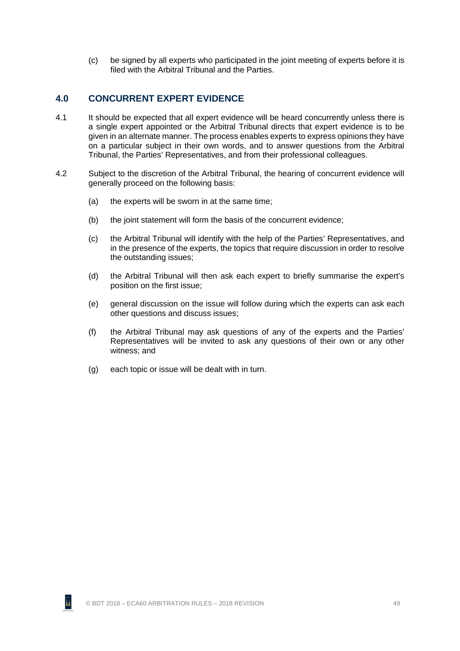(c) be signed by all experts who participated in the joint meeting of experts before it is filed with the Arbitral Tribunal and the Parties.

### <span id="page-55-0"></span>**4.0 CONCURRENT EXPERT EVIDENCE**

- 4.1 It should be expected that all expert evidence will be heard concurrently unless there is a single expert appointed or the Arbitral Tribunal directs that expert evidence is to be given in an alternate manner. The process enables experts to express opinions they have on a particular subject in their own words, and to answer questions from the Arbitral Tribunal, the Parties' Representatives, and from their professional colleagues.
- 4.2 Subject to the discretion of the Arbitral Tribunal, the hearing of concurrent evidence will generally proceed on the following basis:
	- (a) the experts will be sworn in at the same time;
	- (b) the joint statement will form the basis of the concurrent evidence;
	- (c) the Arbitral Tribunal will identify with the help of the Parties' Representatives, and in the presence of the experts, the topics that require discussion in order to resolve the outstanding issues;
	- (d) the Arbitral Tribunal will then ask each expert to briefly summarise the expert's position on the first issue;
	- (e) general discussion on the issue will follow during which the experts can ask each other questions and discuss issues;
	- (f) the Arbitral Tribunal may ask questions of any of the experts and the Parties' Representatives will be invited to ask any questions of their own or any other witness; and
	- (g) each topic or issue will be dealt with in turn.



ĀÁ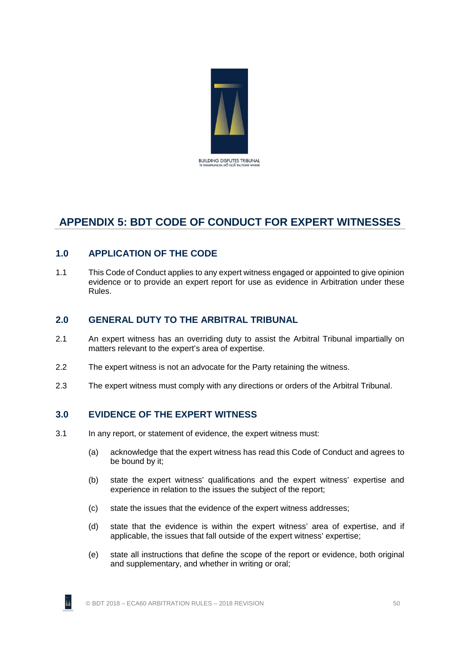

# <span id="page-56-0"></span>**APPENDIX 5: BDT CODE OF CONDUCT FOR EXPERT WITNESSES**

# <span id="page-56-1"></span>**1.0 APPLICATION OF THE CODE**

1.1 This Code of Conduct applies to any expert witness engaged or appointed to give opinion evidence or to provide an expert report for use as evidence in Arbitration under these Rules.

### <span id="page-56-2"></span>**2.0 GENERAL DUTY TO THE ARBITRAL TRIBUNAL**

- 2.1 An expert witness has an overriding duty to assist the Arbitral Tribunal impartially on matters relevant to the expert's area of expertise.
- 2.2 The expert witness is not an advocate for the Party retaining the witness.
- <span id="page-56-3"></span>2.3 The expert witness must comply with any directions or orders of the Arbitral Tribunal.

# **3.0 EVIDENCE OF THE EXPERT WITNESS**

- <span id="page-56-5"></span><span id="page-56-4"></span>3.1 In any report, or statement of evidence, the expert witness must:
	- (a) acknowledge that the expert witness has read this Code of Conduct and agrees to be bound by it;
	- (b) state the expert witness' qualifications and the expert witness' expertise and experience in relation to the issues the subject of the report;
	- (c) state the issues that the evidence of the expert witness addresses;
	- (d) state that the evidence is within the expert witness' area of expertise, and if applicable, the issues that fall outside of the expert witness' expertise;
	- (e) state all instructions that define the scope of the report or evidence, both original and supplementary, and whether in writing or oral;

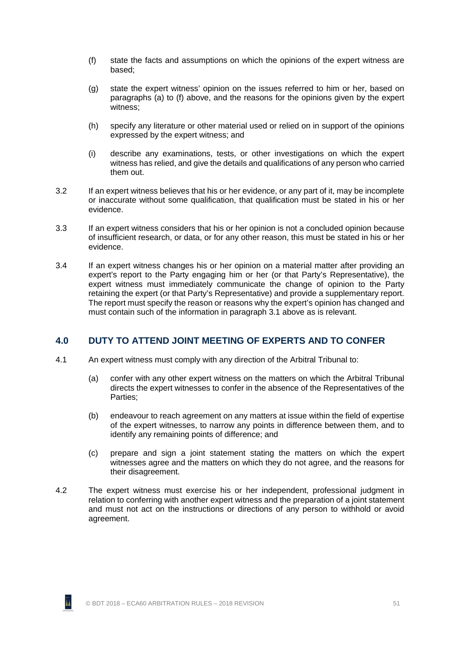- <span id="page-57-1"></span>(f) state the facts and assumptions on which the opinions of the expert witness are based;
- (g) state the expert witness' opinion on the issues referred to him or her, based on paragraphs [\(a\)](#page-56-4) to [\(f\)](#page-57-1) above, and the reasons for the opinions given by the expert witness;
- (h) specify any literature or other material used or relied on in support of the opinions expressed by the expert witness; and
- (i) describe any examinations, tests, or other investigations on which the expert witness has relied, and give the details and qualifications of any person who carried them out.
- 3.2 If an expert witness believes that his or her evidence, or any part of it, may be incomplete or inaccurate without some qualification, that qualification must be stated in his or her evidence.
- 3.3 If an expert witness considers that his or her opinion is not a concluded opinion because of insufficient research, or data, or for any other reason, this must be stated in his or her evidence.
- 3.4 If an expert witness changes his or her opinion on a material matter after providing an expert's report to the Party engaging him or her (or that Party's Representative), the expert witness must immediately communicate the change of opinion to the Party retaining the expert (or that Party's Representative) and provide a supplementary report. The report must specify the reason or reasons why the expert's opinion has changed and must contain such of the information in paragraph [3.1](#page-56-5) above as is relevant.

# <span id="page-57-0"></span>**4.0 DUTY TO ATTEND JOINT MEETING OF EXPERTS AND TO CONFER**

- 4.1 An expert witness must comply with any direction of the Arbitral Tribunal to:
	- (a) confer with any other expert witness on the matters on which the Arbitral Tribunal directs the expert witnesses to confer in the absence of the Representatives of the Parties;
	- (b) endeavour to reach agreement on any matters at issue within the field of expertise of the expert witnesses, to narrow any points in difference between them, and to identify any remaining points of difference; and
	- (c) prepare and sign a joint statement stating the matters on which the expert witnesses agree and the matters on which they do not agree, and the reasons for their disagreement.
- 4.2 The expert witness must exercise his or her independent, professional judgment in relation to conferring with another expert witness and the preparation of a joint statement and must not act on the instructions or directions of any person to withhold or avoid agreement.



īı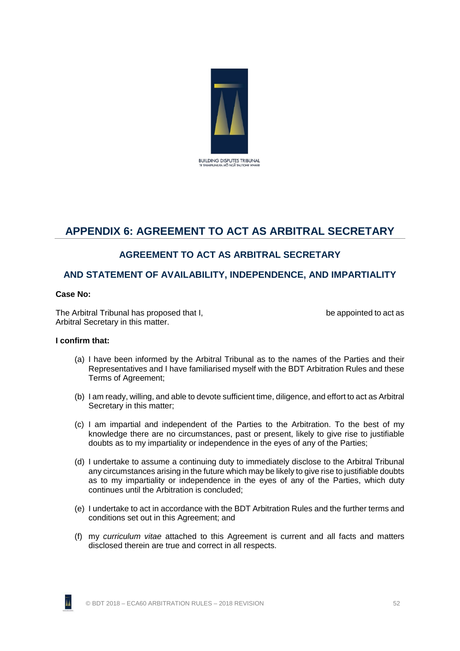

# <span id="page-58-0"></span>**APPENDIX 6: AGREEMENT TO ACT AS ARBITRAL SECRETARY**

# **AGREEMENT TO ACT AS ARBITRAL SECRETARY**

# **AND STATEMENT OF AVAILABILITY, INDEPENDENCE, AND IMPARTIALITY**

#### **Case No:**

The Arbitral Tribunal has proposed that I, the appointed to act as a be appointed to act as Arbitral Secretary in this matter.

#### **I confirm that:**

- (a) I have been informed by the Arbitral Tribunal as to the names of the Parties and their Representatives and I have familiarised myself with the BDT Arbitration Rules and these Terms of Agreement;
- (b) I am ready, willing, and able to devote sufficient time, diligence, and effort to act as Arbitral Secretary in this matter;
- (c) I am impartial and independent of the Parties to the Arbitration. To the best of my knowledge there are no circumstances, past or present, likely to give rise to justifiable doubts as to my impartiality or independence in the eyes of any of the Parties;
- (d) I undertake to assume a continuing duty to immediately disclose to the Arbitral Tribunal any circumstances arising in the future which may be likely to give rise to justifiable doubts as to my impartiality or independence in the eyes of any of the Parties, which duty continues until the Arbitration is concluded;
- (e) I undertake to act in accordance with the BDT Arbitration Rules and the further terms and conditions set out in this Agreement; and
- (f) my *curriculum vitae* attached to this Agreement is current and all facts and matters disclosed therein are true and correct in all respects.

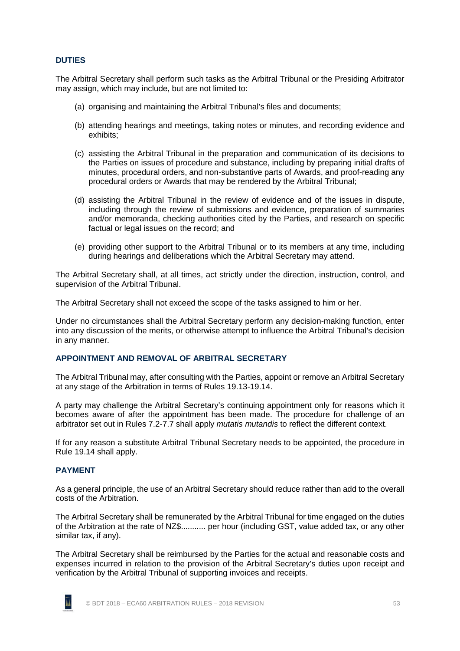#### **DUTIES**

The Arbitral Secretary shall perform such tasks as the Arbitral Tribunal or the Presiding Arbitrator may assign, which may include, but are not limited to:

- (a) organising and maintaining the Arbitral Tribunal's files and documents;
- (b) attending hearings and meetings, taking notes or minutes, and recording evidence and exhibits;
- (c) assisting the Arbitral Tribunal in the preparation and communication of its decisions to the Parties on issues of procedure and substance, including by preparing initial drafts of minutes, procedural orders, and non-substantive parts of Awards, and proof-reading any procedural orders or Awards that may be rendered by the Arbitral Tribunal;
- (d) assisting the Arbitral Tribunal in the review of evidence and of the issues in dispute, including through the review of submissions and evidence, preparation of summaries and/or memoranda, checking authorities cited by the Parties, and research on specific factual or legal issues on the record; and
- (e) providing other support to the Arbitral Tribunal or to its members at any time, including during hearings and deliberations which the Arbitral Secretary may attend.

The Arbitral Secretary shall, at all times, act strictly under the direction, instruction, control, and supervision of the Arbitral Tribunal.

The Arbitral Secretary shall not exceed the scope of the tasks assigned to him or her.

Under no circumstances shall the Arbitral Secretary perform any decision-making function, enter into any discussion of the merits, or otherwise attempt to influence the Arbitral Tribunal's decision in any manner.

#### **APPOINTMENT AND REMOVAL OF ARBITRAL SECRETARY**

The Arbitral Tribunal may, after consulting with the Parties, appoint or remove an Arbitral Secretary at any stage of the Arbitration in terms of Rules [19.13](#page-21-2)[-19.14.](#page-21-3)

A party may challenge the Arbitral Secretary's continuing appointment only for reasons which it becomes aware of after the appointment has been made. The procedure for challenge of an arbitrator set out in Rules [7.2](#page-15-1)[-7.7](#page-15-0) shall apply *mutatis mutandis* to reflect the different context.

If for any reason a substitute Arbitral Tribunal Secretary needs to be appointed, the procedure in Rule [19.14](#page-21-3) shall apply.

#### **PAYMENT**

As a general principle, the use of an Arbitral Secretary should reduce rather than add to the overall costs of the Arbitration.

The Arbitral Secretary shall be remunerated by the Arbitral Tribunal for time engaged on the duties of the Arbitration at the rate of NZ\$........... per hour (including GST, value added tax, or any other similar tax, if any).

The Arbitral Secretary shall be reimbursed by the Parties for the actual and reasonable costs and expenses incurred in relation to the provision of the Arbitral Secretary's duties upon receipt and verification by the Arbitral Tribunal of supporting invoices and receipts.